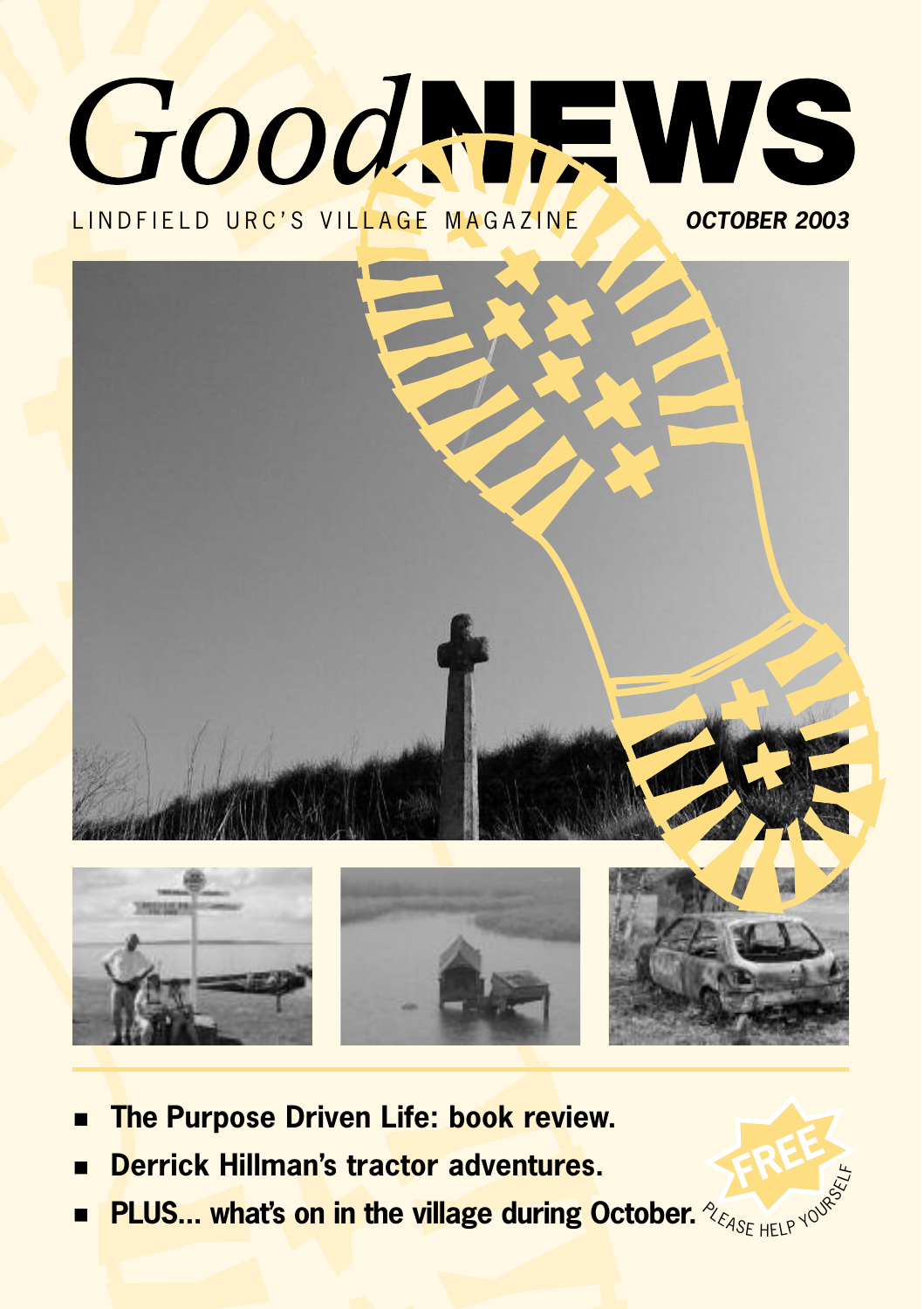# GoodNEWS LINDFIELD URC'S VILLAGE MAGAZINE *OCTOBER 2003*



- **The Purpose Driven Life: book review.**
- **Derrick Hillman's tractor adventures.**
- **PLUS... what's on in the village during October.**  $\blacksquare$

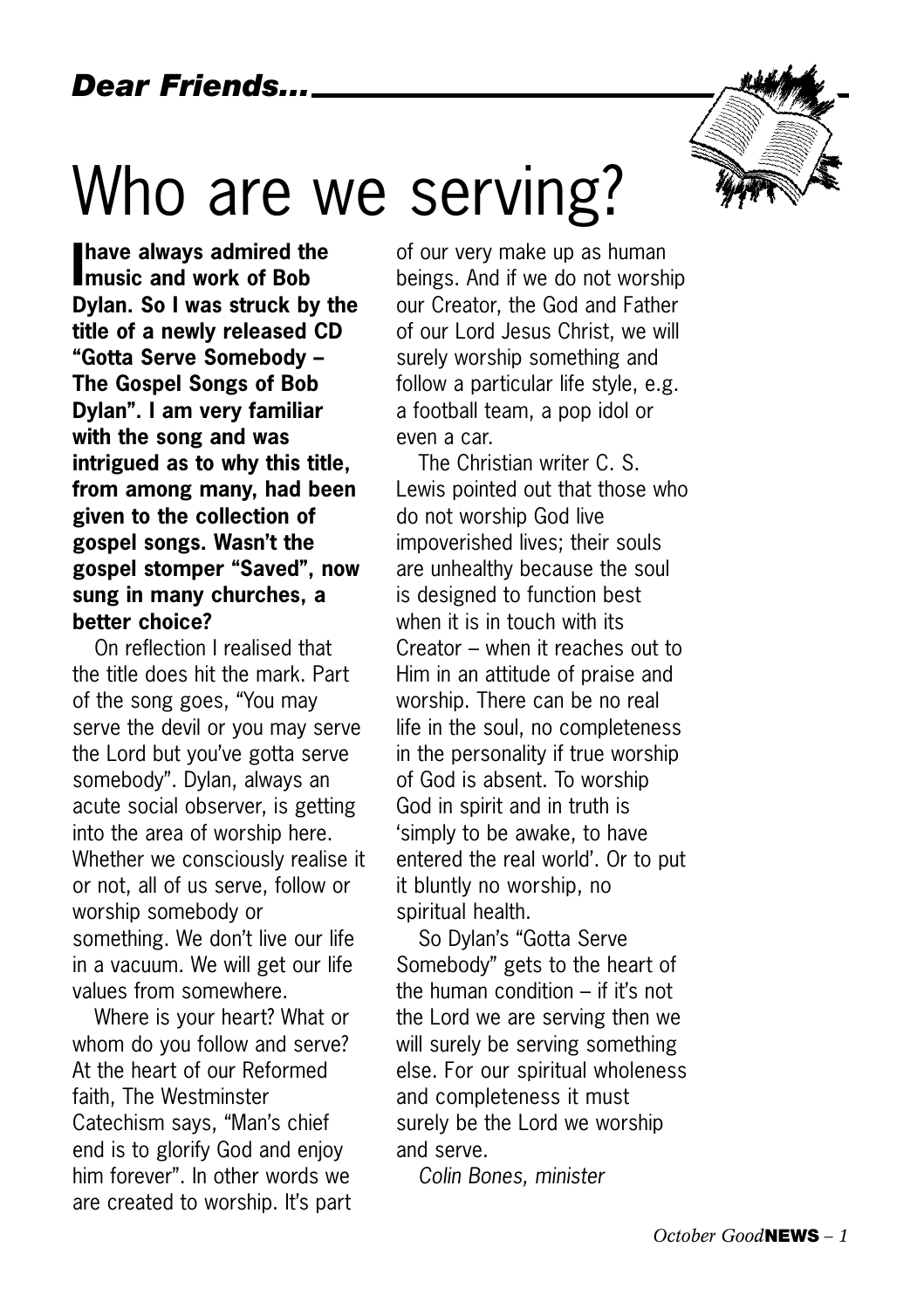## Who are we serving?



**I music and work of Bob have always admired the Dylan. So I was struck by the title of a newly released CD "Gotta Serve Somebody – The Gospel Songs of Bob Dylan". I am very familiar with the song and was intrigued as to why this title, from among many, had been given to the collection of gospel songs. Wasn't the gospel stomper "Saved", now sung in many churches, a better choice?**

On reflection I realised that the title does hit the mark. Part of the song goes, "You may serve the devil or you may serve the Lord but you've gotta serve somebody". Dylan, always an acute social observer, is getting into the area of worship here. Whether we consciously realise it or not, all of us serve, follow or worship somebody or something. We don't live our life in a vacuum. We will get our life values from somewhere.

Where is your heart? What or whom do you follow and serve? At the heart of our Reformed faith, The Westminster Catechism says, "Man's chief end is to glorify God and enjoy him forever". In other words we are created to worship. It's part of our very make up as human beings. And if we do not worship our Creator, the God and Father of our Lord Jesus Christ, we will surely worship something and follow a particular life style, e.g. a football team, a pop idol or even a car.

The Christian writer C. S. Lewis pointed out that those who do not worship God live impoverished lives; their souls are unhealthy because the soul is designed to function best when it is in touch with its Creator – when it reaches out to Him in an attitude of praise and worship. There can be no real life in the soul, no completeness in the personality if true worship of God is absent. To worship God in spirit and in truth is 'simply to be awake, to have entered the real world'. Or to put it bluntly no worship, no spiritual health.

So Dylan's "Gotta Serve Somebody" gets to the heart of the human condition – if it's not the Lord we are serving then we will surely be serving something else. For our spiritual wholeness and completeness it must surely be the Lord we worship and serve.

*Colin Bones, minister*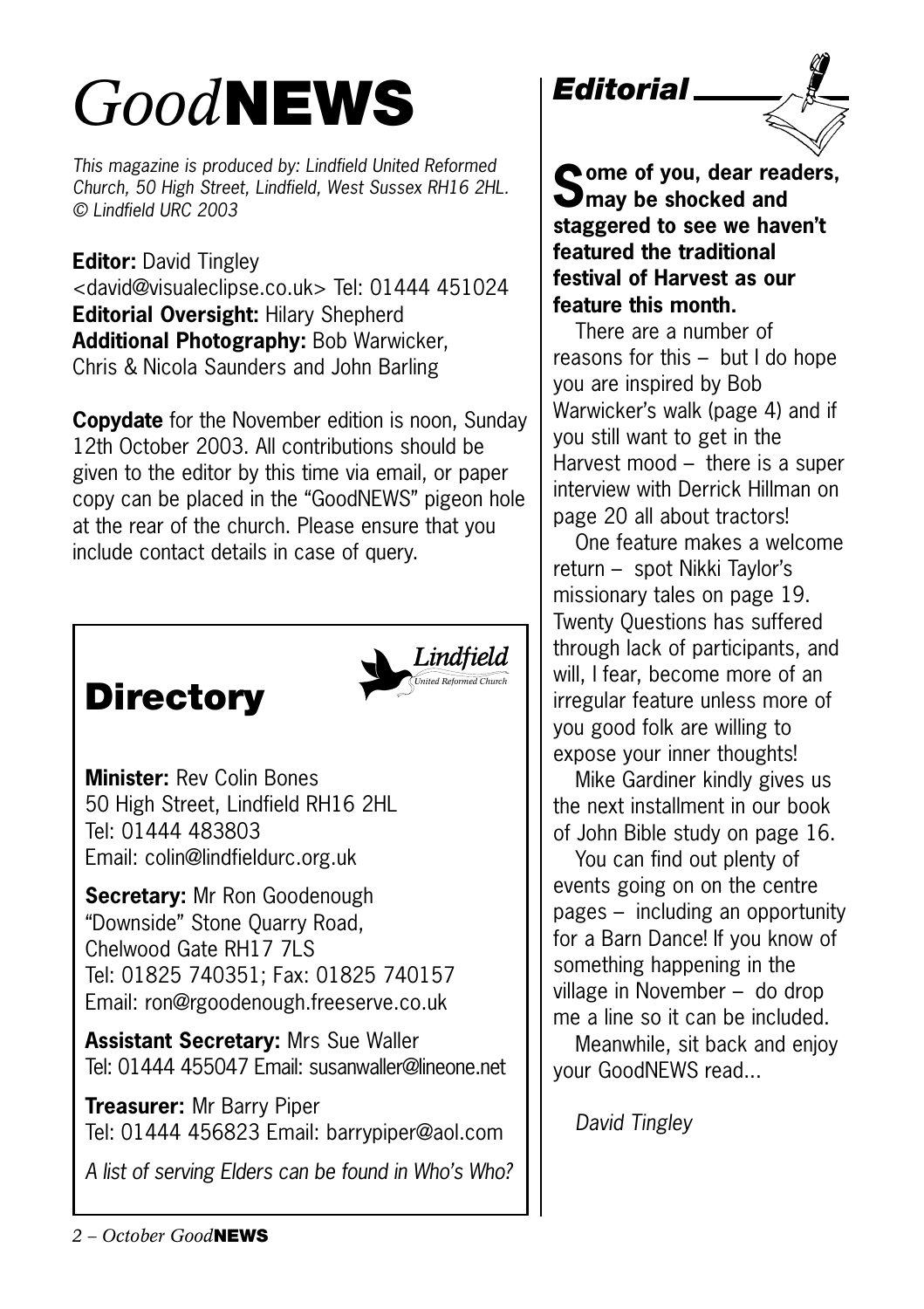## *Good***NEWS**

*This magazine is produced by: Lindfield United Reformed Church, 50 High Street, Lindfield, West Sussex RH16 2HL. © Lindfield URC 2003*

**Editor:** David Tingley <david@visualeclipse.co.uk> Tel: 01444 451024 **Editorial Oversight:** Hilary Shepherd **Additional Photography:** Bob Warwicker, Chris & Nicola Saunders and John Barling

**Copydate** for the November edition is noon, Sunday 12th October 2003. All contributions should be given to the editor by this time via email, or paper copy can be placed in the "GoodNEWS" pigeon hole at the rear of the church. Please ensure that you include contact details in case of query.





**Minister:** Rev Colin Bones 50 High Street, Lindfield RH16 2HL Tel: 01444 483803 Email: colin@lindfieldurc.org.uk

**Secretary:** Mr Ron Goodenough "Downside" Stone Quarry Road, Chelwood Gate RH17 7LS Tel: 01825 740351; Fax: 01825 740157 Email: ron@rgoodenough.freeserve.co.uk

**Assistant Secretary:** Mrs Sue Waller Tel: 01444 455047 Email: susanwaller@lineone.net

**Treasurer:** Mr Barry Piper Tel: 01444 456823 Email: barrypiper@aol.com

*A list of serving Elders can be found in Who's Who?*

*Editorial*



**Some of you, dear readers,**  $\sum$ may be shocked and **staggered to see we haven't featured the traditional festival of Harvest as our feature this month.** 

There are a number of reasons for this – but I do hope you are inspired by Bob Warwicker's walk (page 4) and if you still want to get in the Harvest mood – there is a super interview with Derrick Hillman on page 20 all about tractors!

One feature makes a welcome return – spot Nikki Taylor's missionary tales on page 19. Twenty Questions has suffered through lack of participants, and will, I fear, become more of an irregular feature unless more of you good folk are willing to expose your inner thoughts!

Mike Gardiner kindly gives us the next installment in our book of John Bible study on page 16.

You can find out plenty of events going on on the centre pages – including an opportunity for a Barn Dance! If you know of something happening in the village in November – do drop me a line so it can be included.

Meanwhile, sit back and enjoy your GoodNEWS read...

*David Tingley*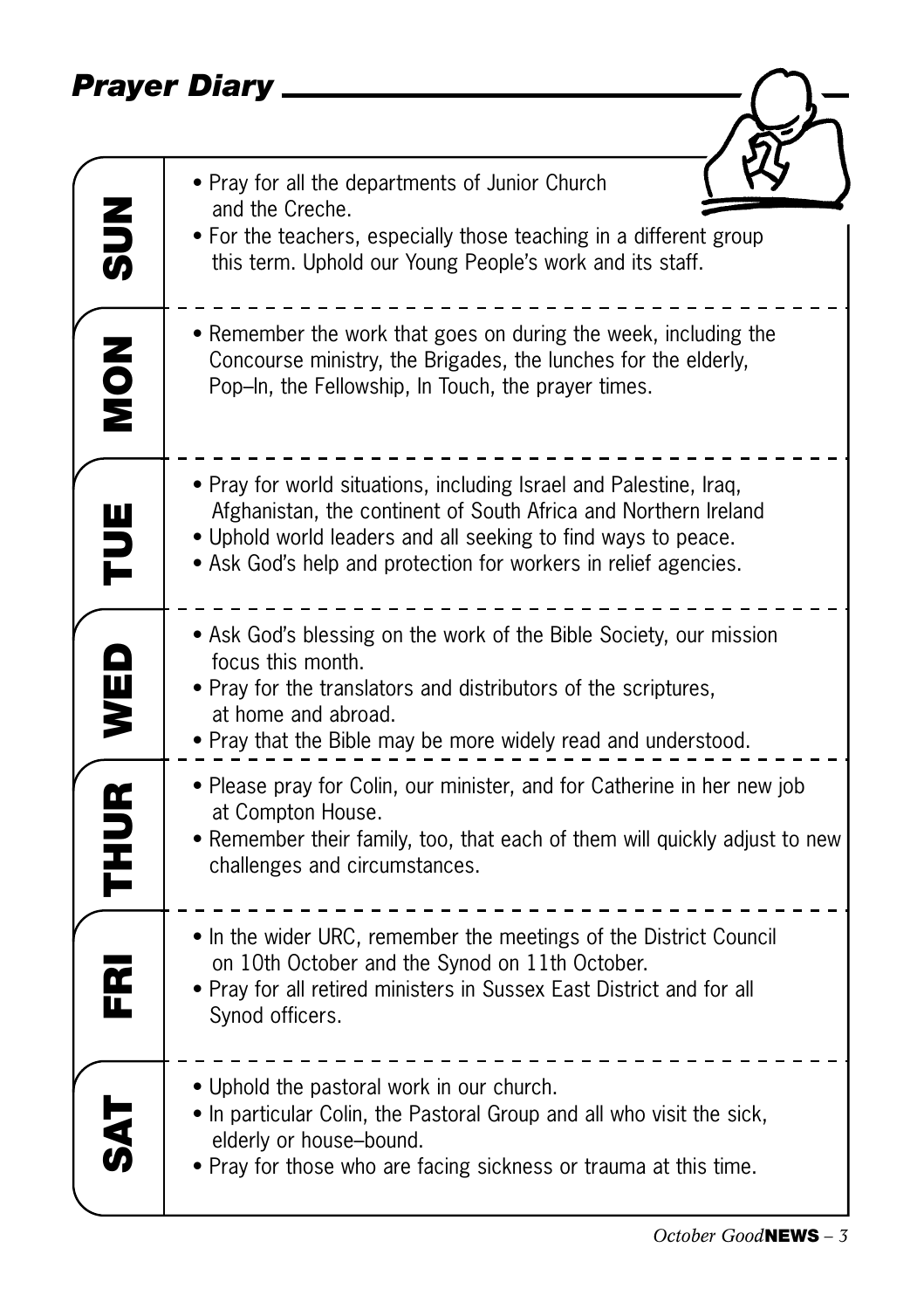### *Prayer Diary*

|             | Prayer Diary                                                                                                                                                                                                                                                              |
|-------------|---------------------------------------------------------------------------------------------------------------------------------------------------------------------------------------------------------------------------------------------------------------------------|
|             |                                                                                                                                                                                                                                                                           |
| $rac{2}{5}$ | • Pray for all the departments of Junior Church<br>and the Creche.<br>• For the teachers, especially those teaching in a different group<br>this term. Uphold our Young People's work and its staff.                                                                      |
| <b>NON</b>  | • Remember the work that goes on during the week, including the<br>Concourse ministry, the Brigades, the lunches for the elderly,<br>Pop-In, the Fellowship, In Touch, the prayer times.                                                                                  |
| TUE         | • Pray for world situations, including Israel and Palestine, Iraq,<br>Afghanistan, the continent of South Africa and Northern Ireland<br>• Uphold world leaders and all seeking to find ways to peace.<br>• Ask God's help and protection for workers in relief agencies. |
| WED         | • Ask God's blessing on the work of the Bible Society, our mission<br>focus this month.<br>• Pray for the translators and distributors of the scriptures,<br>at home and abroad.<br>. Pray that the Bible may be more widely read and understood.                         |
| <b>THUR</b> | • Please pray for Colin, our minister, and for Catherine in her new job<br>at Compton House.<br>• Remember their family, too, that each of them will quickly adjust to new<br>challenges and circumstances.                                                               |
| 군<br>내      | • In the wider URC, remember the meetings of the District Council<br>on 10th October and the Synod on 11th October.<br>. Pray for all retired ministers in Sussex East District and for all<br>Synod officers.                                                            |
|             | • Uphold the pastoral work in our church.<br>• In particular Colin, the Pastoral Group and all who visit the sick,<br>elderly or house-bound.<br>• Pray for those who are facing sickness or trauma at this time.                                                         |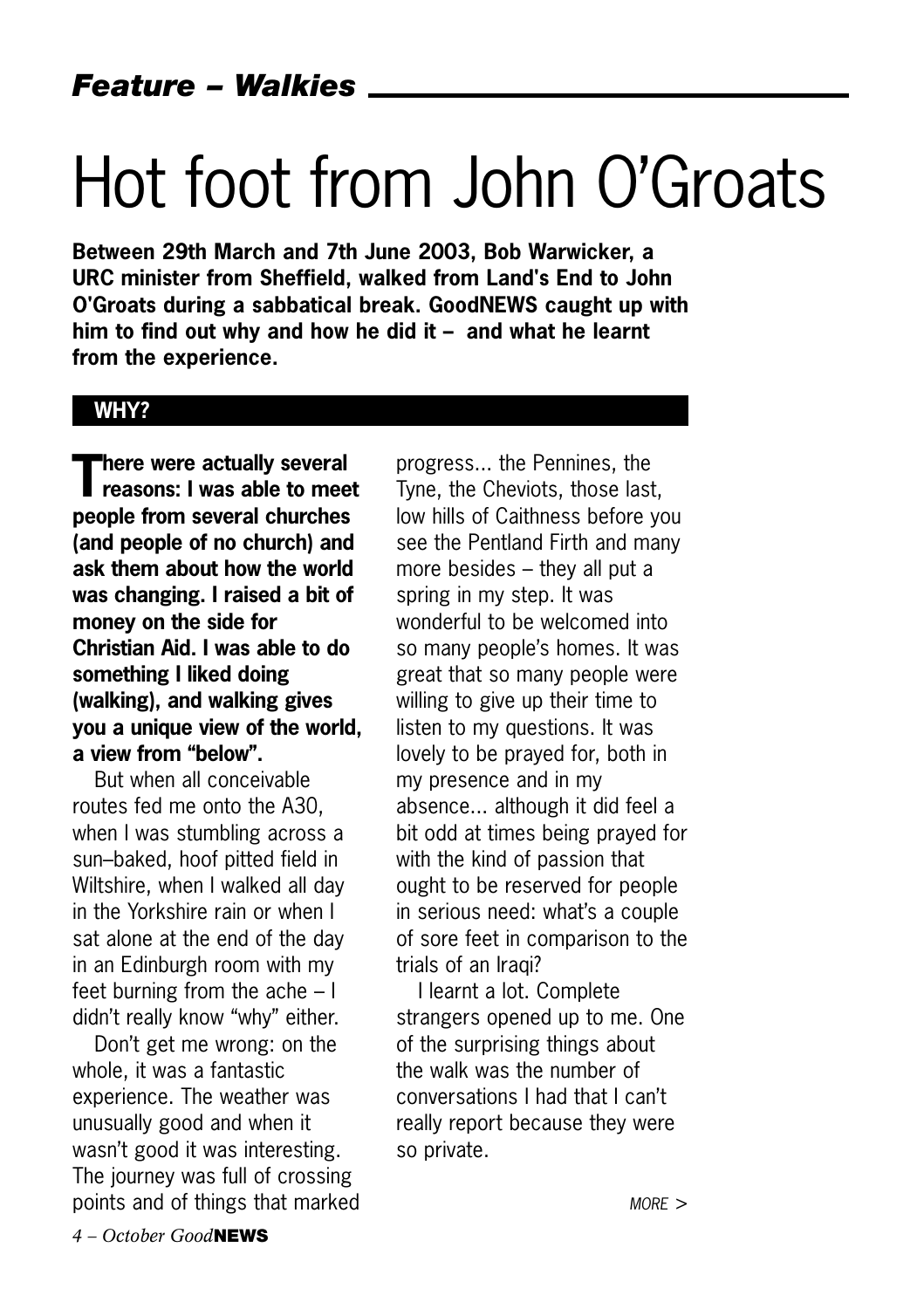# Hot foot from John O'Groats

**Between 29th March and 7th June 2003, Bob Warwicker, a URC minister from Sheffield, walked from Land's End to John O'Groats during a sabbatical break. GoodNEWS caught up with him to find out why and how he did it – and what he learnt from the experience.** 

#### **WHY?**

**There were actually several reasons: I was able to meet people from several churches (and people of no church) and ask them about how the world was changing. I raised a bit of money on the side for Christian Aid. I was able to do something I liked doing (walking), and walking gives you a unique view of the world, a view from "below".**

But when all conceivable routes fed me onto the A30, when I was stumbling across a sun–baked, hoof pitted field in Wiltshire, when I walked all day in the Yorkshire rain or when I sat alone at the end of the day in an Edinburgh room with my feet burning from the ache – I didn't really know "why" either.

Don't get me wrong: on the whole, it was a fantastic experience. The weather was unusually good and when it wasn't good it was interesting. The journey was full of crossing points and of things that marked progress... the Pennines, the Tyne, the Cheviots, those last, low hills of Caithness before you see the Pentland Firth and many more besides – they all put a spring in my step. It was wonderful to be welcomed into so many people's homes. It was great that so many people were willing to give up their time to listen to my questions. It was lovely to be prayed for, both in my presence and in my absence... although it did feel a bit odd at times being prayed for with the kind of passion that ought to be reserved for people in serious need: what's a couple of sore feet in comparison to the trials of an Iraqi?

I learnt a lot. Complete strangers opened up to me. One of the surprising things about the walk was the number of conversations I had that I can't really report because they were so private.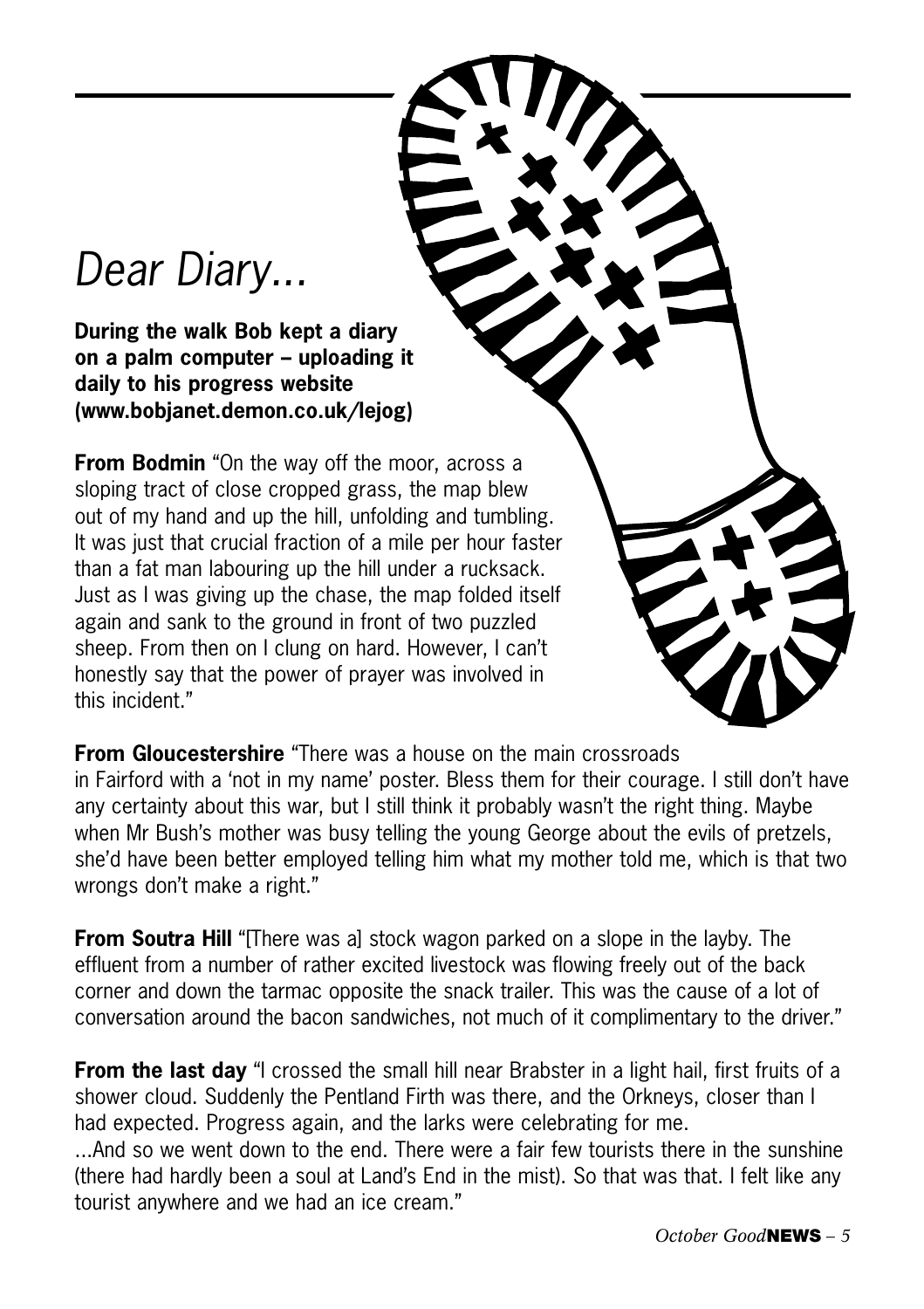## *Dear Diary...*

**During the walk Bob kept a diary on a palm computer – uploading it daily to his progress website (www.bobjanet.demon.co.uk/lejog)**

**From Bodmin** "On the way off the moor, across a sloping tract of close cropped grass, the map blew out of my hand and up the hill, unfolding and tumbling. It was just that crucial fraction of a mile per hour faster than a fat man labouring up the hill under a rucksack. Just as I was giving up the chase, the map folded itself again and sank to the ground in front of two puzzled sheep. From then on I clung on hard. However, I can't honestly say that the power of prayer was involved in this incident."

**From Gloucestershire** "There was a house on the main crossroads

in Fairford with a 'not in my name' poster. Bless them for their courage. I still don't have any certainty about this war, but I still think it probably wasn't the right thing. Maybe when Mr Bush's mother was busy telling the young George about the evils of pretzels, she'd have been better employed telling him what my mother told me, which is that two wrongs don't make a right."

**From Soutra Hill** "[There was al stock wagon parked on a slope in the layby. The effluent from a number of rather excited livestock was flowing freely out of the back corner and down the tarmac opposite the snack trailer. This was the cause of a lot of conversation around the bacon sandwiches, not much of it complimentary to the driver."

**From the last day** "I crossed the small hill near Brabster in a light hail, first fruits of a shower cloud. Suddenly the Pentland Firth was there, and the Orkneys, closer than I had expected. Progress again, and the larks were celebrating for me.

...And so we went down to the end. There were a fair few tourists there in the sunshine (there had hardly been a soul at Land's End in the mist). So that was that. I felt like any tourist anywhere and we had an ice cream."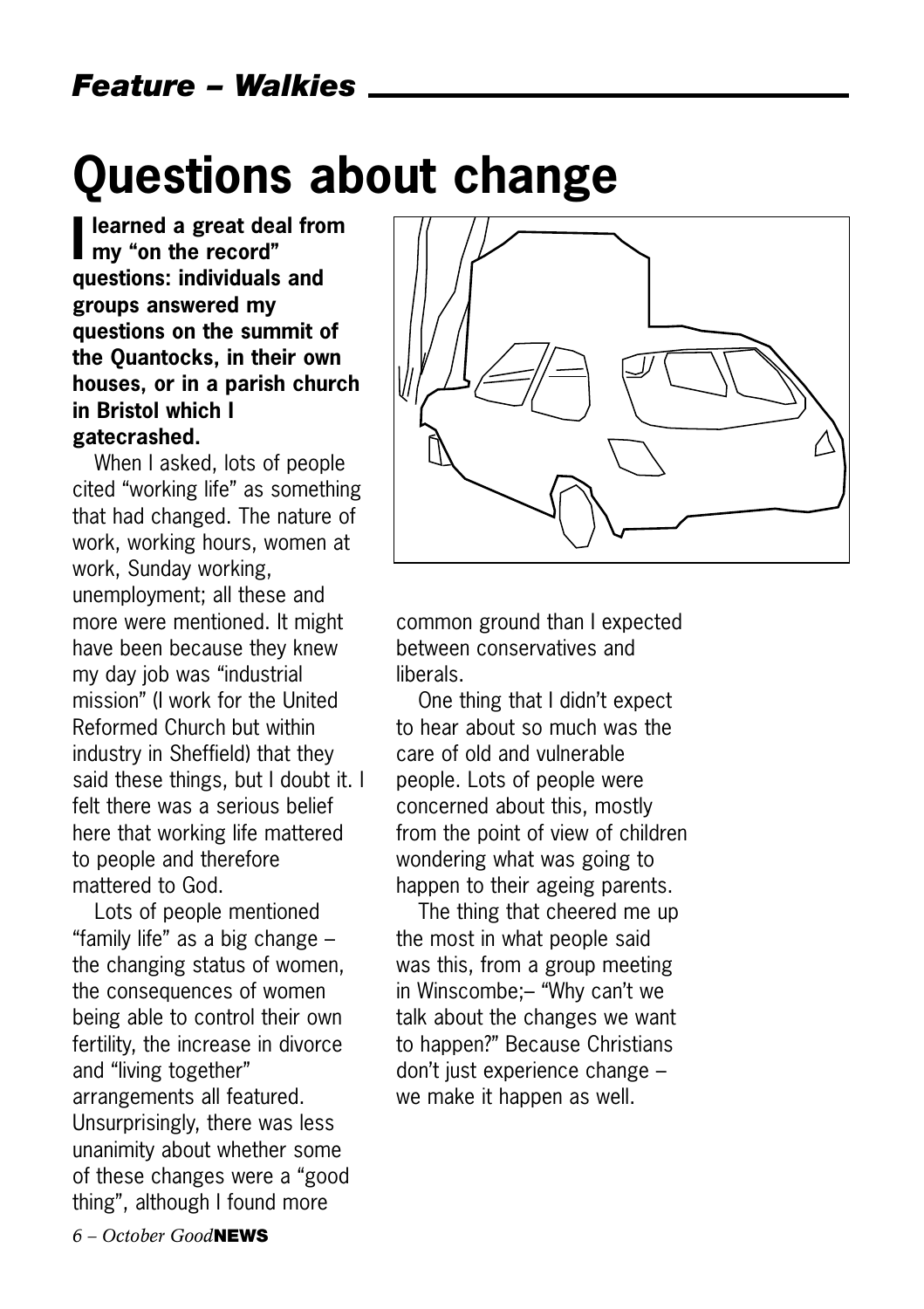## **Questions about change**

**I** learned a great dearned a great dearned in **learned a great deal from questions: individuals and groups answered my questions on the summit of the Quantocks, in their own houses, or in a parish church in Bristol which I gatecrashed.** 

When I asked, lots of people cited "working life" as something that had changed. The nature of work, working hours, women at work, Sunday working, unemployment; all these and more were mentioned. It might have been because they knew my day job was "industrial mission" (I work for the United Reformed Church but within industry in Sheffield) that they said these things, but I doubt it. I felt there was a serious belief here that working life mattered to people and therefore mattered to God.

Lots of people mentioned "family life" as a big change – the changing status of women, the consequences of women being able to control their own fertility, the increase in divorce and "living together" arrangements all featured. Unsurprisingly, there was less unanimity about whether some of these changes were a "good thing", although I found more



common ground than I expected between conservatives and liberals.

One thing that I didn't expect to hear about so much was the care of old and vulnerable people. Lots of people were concerned about this, mostly from the point of view of children wondering what was going to happen to their ageing parents.

The thing that cheered me up the most in what people said was this, from a group meeting in Winscombe;– "Why can't we talk about the changes we want to happen?" Because Christians don't just experience change – we make it happen as well.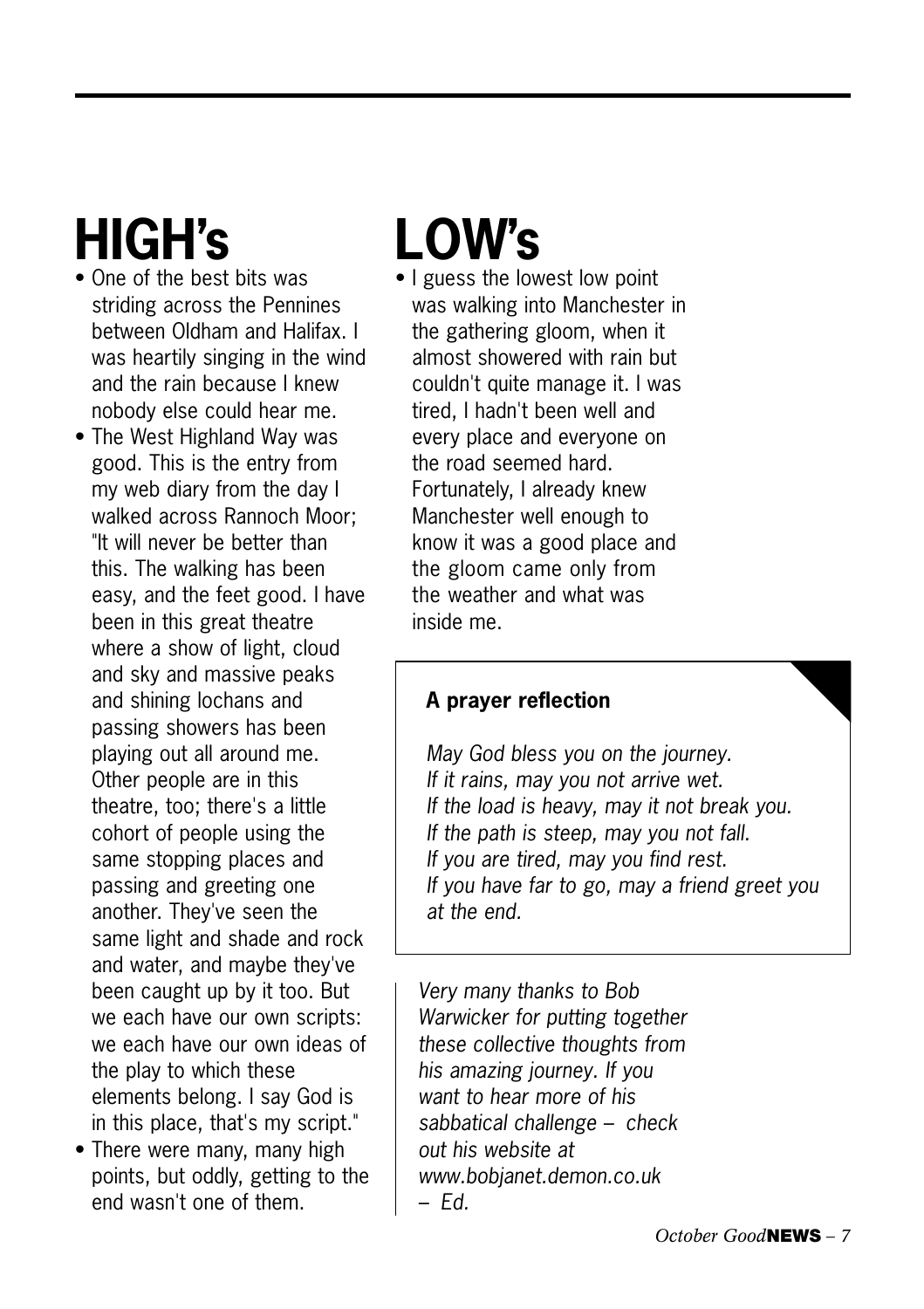## **HIGH's**

- One of the best bits was striding across the Pennines between Oldham and Halifax. I was heartily singing in the wind and the rain because I knew nobody else could hear me.
- The West Highland Way was good. This is the entry from my web diary from the day I walked across Rannoch Moor; "It will never be better than this. The walking has been easy, and the feet good. I have been in this great theatre where a show of light, cloud and sky and massive peaks and shining lochans and passing showers has been playing out all around me. Other people are in this theatre, too; there's a little cohort of people using the same stopping places and passing and greeting one another. They've seen the same light and shade and rock and water, and maybe they've been caught up by it too. But we each have our own scripts: we each have our own ideas of the play to which these elements belong. I say God is in this place, that's my script."
- There were many, many high points, but oddly, getting to the end wasn't one of them.

## **LOW's**

• I guess the lowest low point was walking into Manchester in the gathering gloom, when it almost showered with rain but couldn't quite manage it. I was tired, I hadn't been well and every place and everyone on the road seemed hard. Fortunately, I already knew Manchester well enough to know it was a good place and the gloom came only from the weather and what was inside me.

#### **A prayer reflection**

*May God bless you on the journey. If it rains, may you not arrive wet. If the load is heavy, may it not break you. If the path is steep, may you not fall. If you are tired, may you find rest. If you have far to go, may a friend greet you at the end.*

*Very many thanks to Bob Warwicker for putting together these collective thoughts from his amazing journey. If you want to hear more of his sabbatical challenge – check out his website at www.bobjanet.demon.co.uk – Ed.*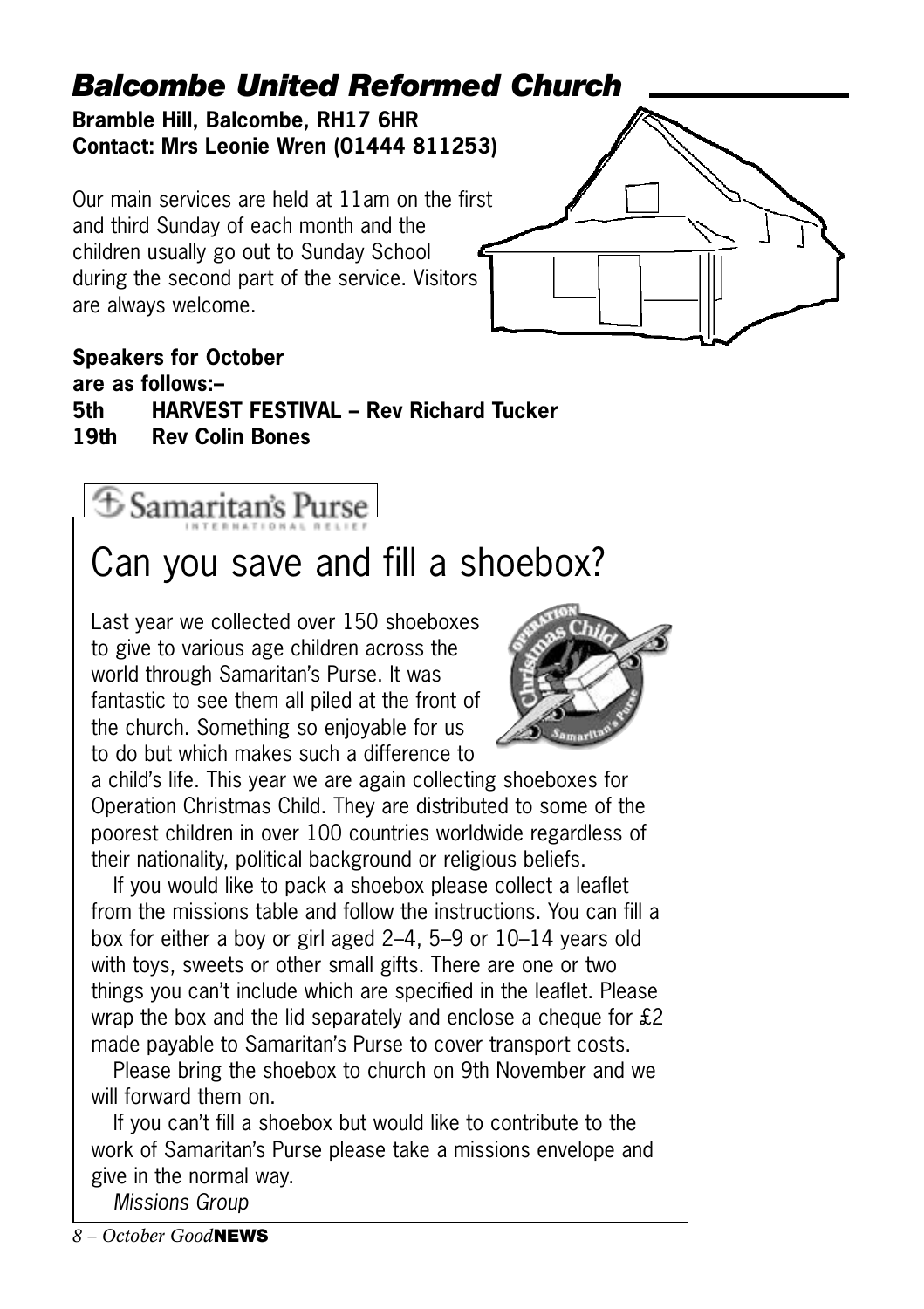### *Balcombe United Reformed Church*

**Bramble Hill, Balcombe, RH17 6HR Contact: Mrs Leonie Wren (01444 811253)**

Our main services are held at 11am on the first and third Sunday of each month and the children usually go out to Sunday School during the second part of the service. Visitors are always welcome.



#### **Speakers for October are as follows:– 5th HARVEST FESTIVAL – Rev Richard Tucker 19th Rev Colin Bones**

① Samaritan's Purse

## Can you save and fill a shoebox?

Last year we collected over 150 shoeboxes to give to various age children across the world through Samaritan's Purse. It was fantastic to see them all piled at the front of the church. Something so enjoyable for us to do but which makes such a difference to



a child's life. This year we are again collecting shoeboxes for Operation Christmas Child. They are distributed to some of the poorest children in over 100 countries worldwide regardless of their nationality, political background or religious beliefs.

If you would like to pack a shoebox please collect a leaflet from the missions table and follow the instructions. You can fill a box for either a boy or girl aged 2–4, 5–9 or 10–14 years old with toys, sweets or other small gifts. There are one or two things you can't include which are specified in the leaflet. Please wrap the box and the lid separately and enclose a cheque for £2 made payable to Samaritan's Purse to cover transport costs.

Please bring the shoebox to church on 9th November and we will forward them on.

If you can't fill a shoebox but would like to contribute to the work of Samaritan's Purse please take a missions envelope and give in the normal way.

*Missions Group*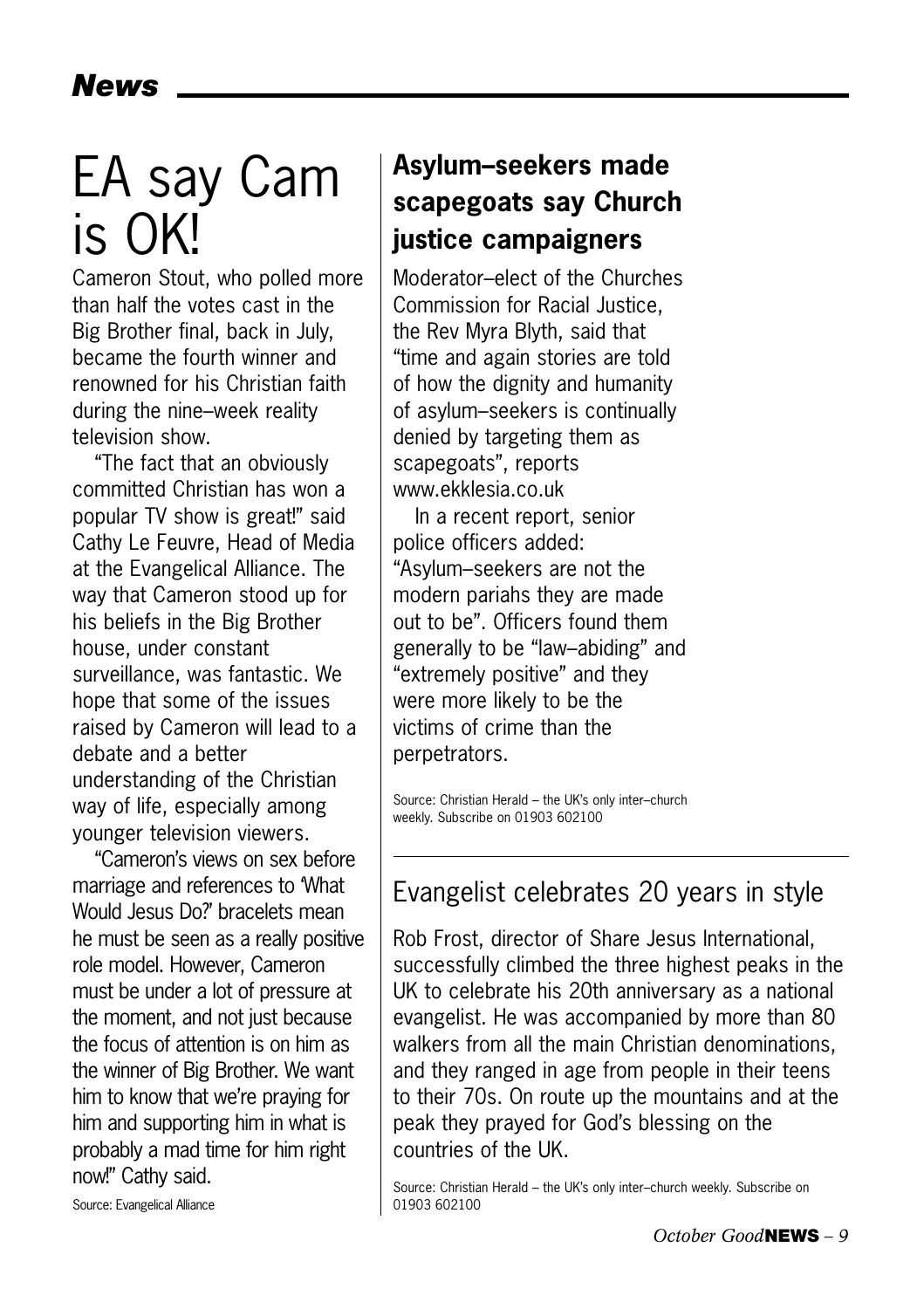## EA say Cam is OK!

Cameron Stout, who polled more than half the votes cast in the Big Brother final, back in July, became the fourth winner and renowned for his Christian faith during the nine–week reality television show.

"The fact that an obviously committed Christian has won a popular TV show is great!" said Cathy Le Feuvre, Head of Media at the Evangelical Alliance. The way that Cameron stood up for his beliefs in the Big Brother house, under constant surveillance, was fantastic. We hope that some of the issues raised by Cameron will lead to a debate and a better understanding of the Christian way of life, especially among younger television viewers.

"Cameron's views on sex before marriage and references to 'What Would Jesus Do?' bracelets mean he must be seen as a really positive role model. However, Cameron must be under a lot of pressure at the moment, and not just because the focus of attention is on him as the winner of Big Brother. We want him to know that we're praying for him and supporting him in what is probably a mad time for him right now!" Cathy said.

### **Asylum–seekers made scapegoats say Church justice campaigners**

Moderator–elect of the Churches Commission for Racial Justice, the Rev Myra Blyth, said that "time and again stories are told of how the dignity and humanity of asylum–seekers is continually denied by targeting them as scapegoats", reports www.ekklesia.co.uk

In a recent report, senior police officers added: "Asylum–seekers are not the modern pariahs they are made out to be". Officers found them generally to be "law–abiding" and "extremely positive" and they were more likely to be the victims of crime than the perpetrators.

Source: Christian Herald – the UK's only inter–church weekly. Subscribe on 01903 602100

### Evangelist celebrates 20 years in style

Rob Frost, director of Share Jesus International, successfully climbed the three highest peaks in the UK to celebrate his 20th anniversary as a national evangelist. He was accompanied by more than 80 walkers from all the main Christian denominations, and they ranged in age from people in their teens to their 70s. On route up the mountains and at the peak they prayed for God's blessing on the countries of the UK.

Source: Christian Herald – the UK's only inter–church weekly. Subscribe on 01903 602100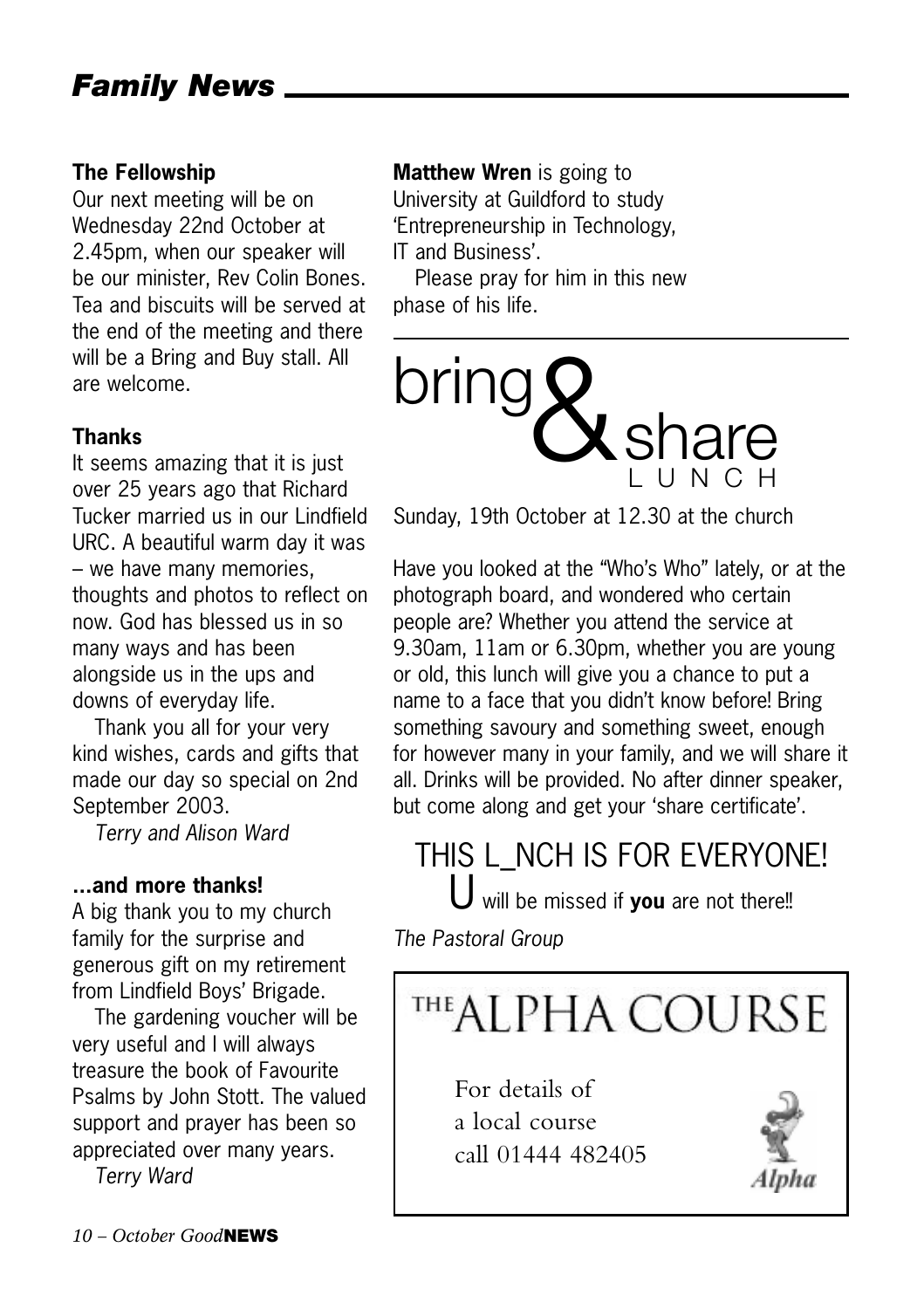#### **The Fellowship**

Our next meeting will be on Wednesday 22nd October at 2.45pm, when our speaker will be our minister, Rev Colin Bones. Tea and biscuits will be served at the end of the meeting and there will be a Bring and Buy stall. All are welcome.

#### **Thanks**

It seems amazing that it is just over 25 years ago that Richard Tucker married us in our Lindfield URC. A beautiful warm day it was – we have many memories, thoughts and photos to reflect on now. God has blessed us in so many ways and has been alongside us in the ups and downs of everyday life.

Thank you all for your very kind wishes, cards and gifts that made our day so special on 2nd September 2003.

*Terry and Alison Ward*

#### **...and more thanks!**

A big thank you to my church family for the surprise and generous gift on my retirement from Lindfield Boys' Brigade.

The gardening voucher will be very useful and I will always treasure the book of Favourite Psalms by John Stott. The valued support and prayer has been so appreciated over many years.

*Terry Ward*

**Matthew Wren** is going to University at Guildford to study 'Entrepreneurship in Technology, IT and Business'.

Please pray for him in this new phase of his life.



Sunday, 19th October at 12.30 at the church

Have you looked at the "Who's Who" lately, or at the photograph board, and wondered who certain people are? Whether you attend the service at 9.30am, 11am or 6.30pm, whether you are young or old, this lunch will give you a chance to put a name to a face that you didn't know before! Bring something savoury and something sweet, enough for however many in your family, and we will share it all. Drinks will be provided. No after dinner speaker, but come along and get your 'share certificate'.

### THIS L\_NCH IS FOR EVERYONE!

U will be missed if **you** are not there!!

*The Pastoral Group*



For details of a local course call 01444 482405

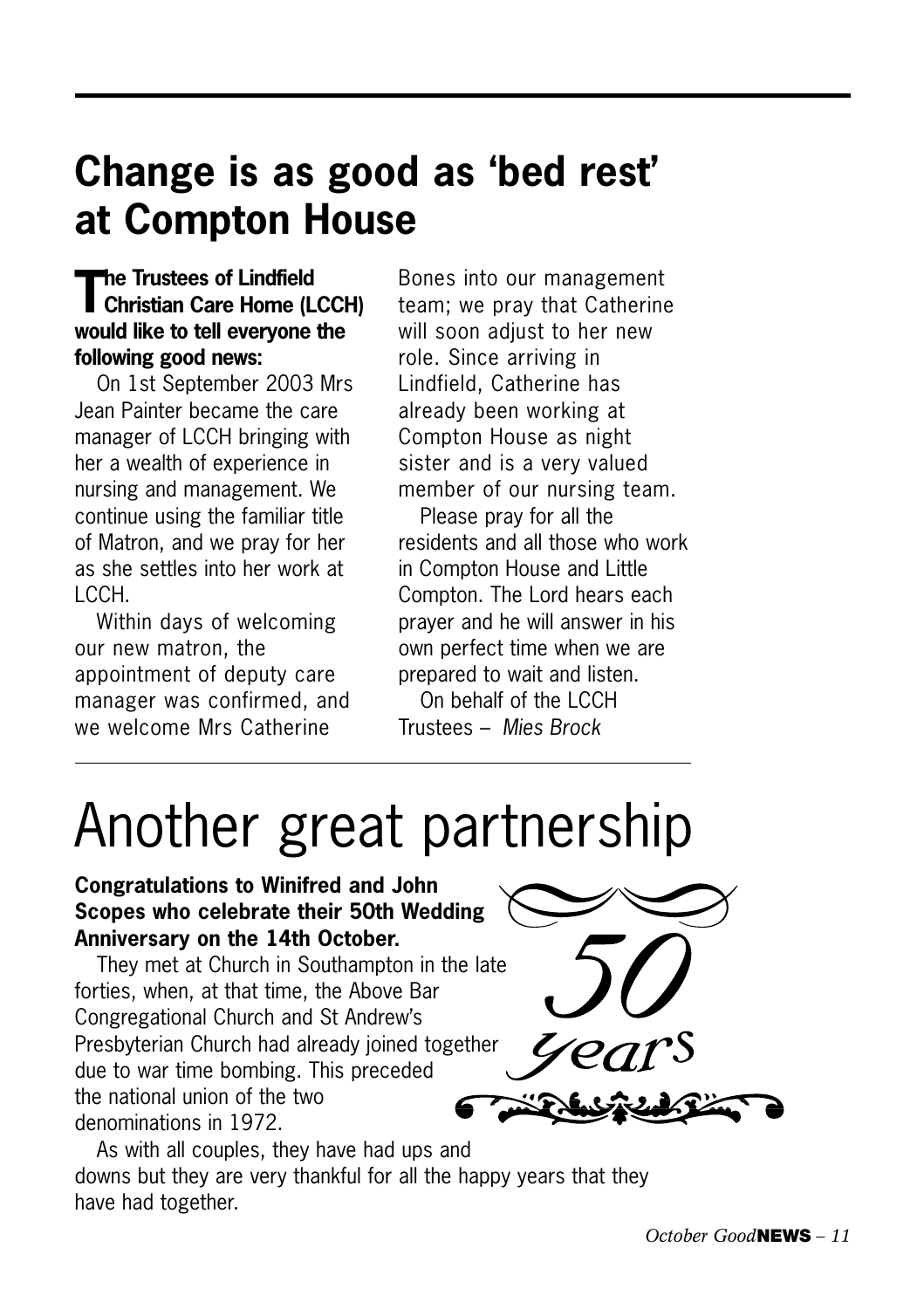## **Change is as good as 'bed rest' at Compton House**

### **The Trustees of Lindfield Christian Care Home (LCCH) would like to tell everyone the following good news:**

On 1st September 2003 Mrs Jean Painter became the care manager of LCCH bringing with her a wealth of experience in nursing and management. We continue using the familiar title of Matron, and we pray for her as she settles into her work at LCCH.

Within days of welcoming our new matron, the appointment of deputy care manager was confirmed, and we welcome Mrs Catherine

Bones into our management team; we pray that Catherine will soon adjust to her new role. Since arriving in Lindfield, Catherine has already been working at Compton House as night sister and is a very valued member of our nursing team.

Please pray for all the residents and all those who work in Compton House and Little Compton. The Lord hears each prayer and he will answer in his own perfect time when we are prepared to wait and listen.

On behalf of the LCCH Trustees – *Mies Brock*

## Another great partnership

#### **Congratulations to Winifred and John Scopes who celebrate their 50th Wedding Anniversary on the 14th October.**

They met at Church in Southampton in the late forties, when, at that time, the Above Bar Congregational Church and St Andrew's Presbyterian Church had already joined together due to war time bombing. This preceded the national union of the two denominations in 1972.



As with all couples, they have had ups and downs but they are very thankful for all the happy years that they have had together.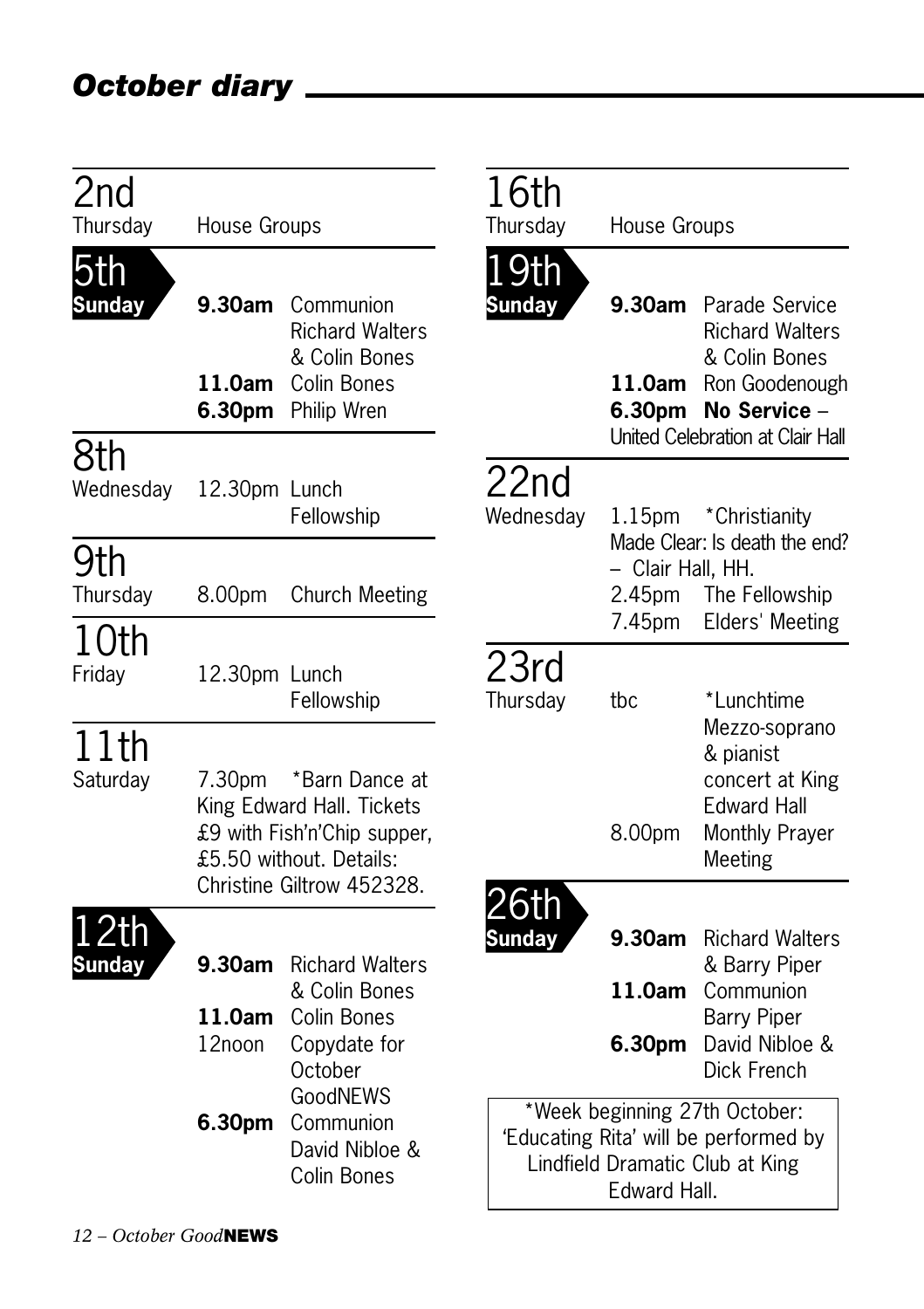| 2 <sub>nd</sub><br>Thursday | House Groups               |                                                                                                                                    |  | 16th<br>Thursday             | House Groups                                                                                                              |                                                                                                                                 |
|-----------------------------|----------------------------|------------------------------------------------------------------------------------------------------------------------------------|--|------------------------------|---------------------------------------------------------------------------------------------------------------------------|---------------------------------------------------------------------------------------------------------------------------------|
| 5th<br><b>Sunday</b>        | 9.30am<br>11.0am<br>6.30pm | Communion<br><b>Richard Walters</b><br>& Colin Bones<br>Colin Bones<br>Philip Wren                                                 |  | <u>.9th</u><br><b>Sunday</b> | 9.30am<br>11.0am<br>6.30pm                                                                                                | Parade Service<br><b>Richard Walters</b><br>& Colin Bones<br>Ron Goodenough<br>No Service -<br>United Celebration at Clair Hall |
| 8th<br>Wednesday            | 12.30pm Lunch              | Fellowship                                                                                                                         |  | 22nd<br>Wednesday            | 1.15 <sub>pm</sub>                                                                                                        | *Christianity                                                                                                                   |
| 9th<br>Thursday             | 8.00pm                     | <b>Church Meeting</b>                                                                                                              |  |                              | - Clair Hall, HH.<br>2.45pm<br>7.45pm                                                                                     | Made Clear: Is death the end?<br>The Fellowship<br>Elders' Meeting                                                              |
| 10th<br>Friday              | 12.30pm Lunch              | Fellowship                                                                                                                         |  | 23rd<br>Thursday             | tbc                                                                                                                       | *Lunchtime<br>Mezzo-soprano                                                                                                     |
| 11th<br>Saturday            | 7.30pm                     | *Barn Dance at<br>King Edward Hall. Tickets<br>£9 with Fish'n'Chip supper,<br>£5.50 without. Details:<br>Christine Giltrow 452328. |  |                              | 8.00pm                                                                                                                    | & pianist<br>concert at King<br><b>Edward Hall</b><br>Monthly Prayer<br>Meeting                                                 |
| Sunday                      | 9.30am<br>11.0am<br>12noon | <b>Richard Walters</b><br>& Colin Bones<br><b>Colin Bones</b><br>Copydate for<br>October                                           |  | 6th<br>Sundav                | 9.30am<br>11.0am<br>6.30pm                                                                                                | <b>Richard Walters</b><br>& Barry Piper<br>Communion<br><b>Barry Piper</b><br>David Nibloe &<br>Dick French                     |
|                             | 6.30pm                     | GoodNEWS<br>Communion<br>David Nibloe &<br>Colin Bones                                                                             |  |                              | *Week beginning 27th October:<br>'Educating Rita' will be performed by<br>Lindfield Dramatic Club at King<br>Edward Hall. |                                                                                                                                 |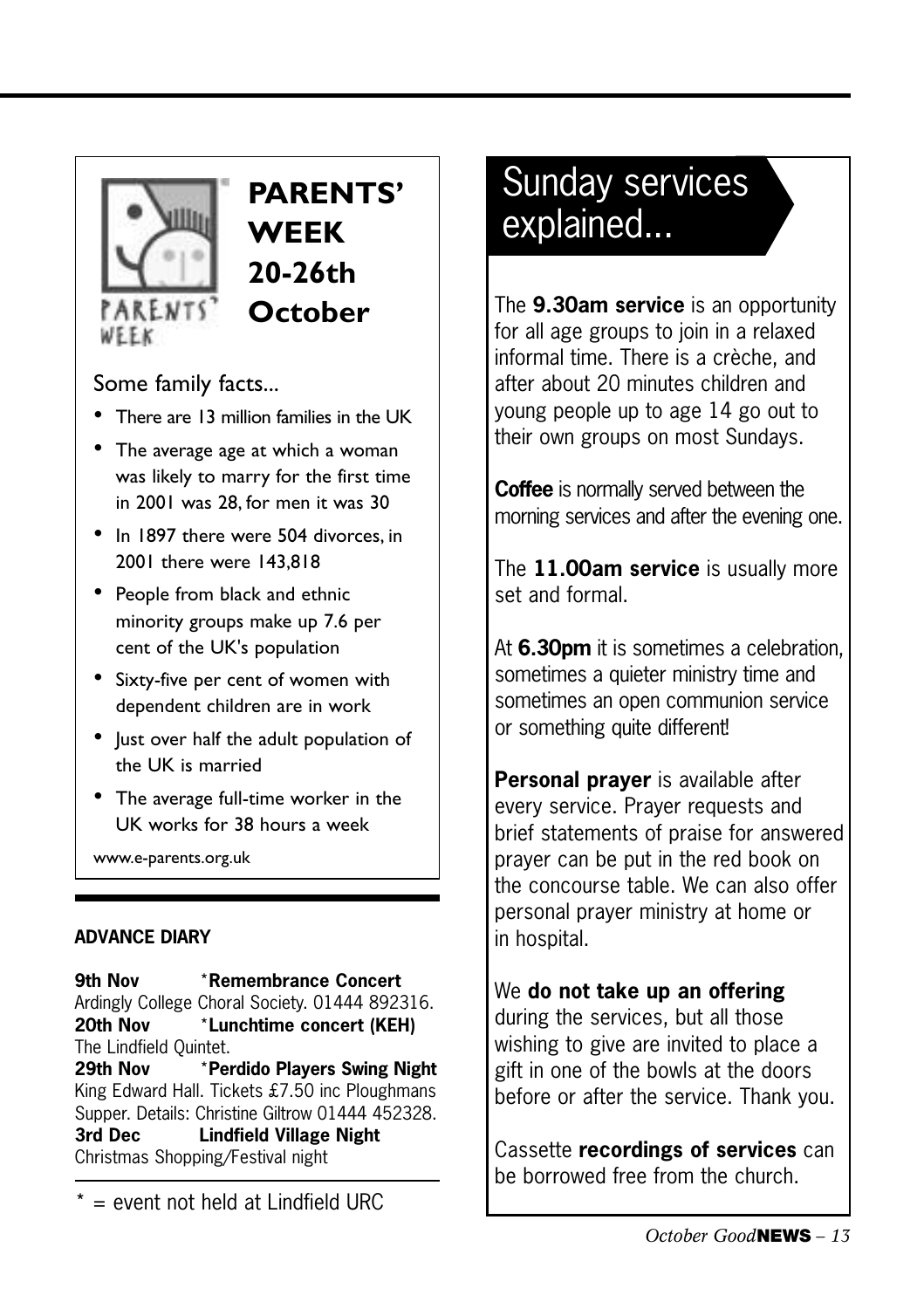

WEEK

### **PARENTS' WEEK 20-26th October**

#### Some family facts...

- There are 13 million families in the UK
- The average age at which a woman was likely to marry for the first time in 2001 was 28, for men it was 30
- In 1897 there were 504 divorces, in 2001 there were 143,818
- People from black and ethnic minority groups make up 7.6 per cent of the UK's population
- Sixty-five per cent of women with dependent children are in work
- Just over half the adult population of the UK is married
- The average full-time worker in the UK works for 38 hours a week

www.e-parents.org.uk

#### **ADVANCE DIARY**

**9th Nov** \***Remembrance Concert** Ardingly College Choral Society. 01444 892316. **20th Nov** \***Lunchtime concert (KEH)** The Lindfield Quintet. **29th Nov** \***Perdido Players Swing Night** King Edward Hall. Tickets £7.50 inc Ploughmans Supper. Details: Christine Giltrow 01444 452328.

**3rd Dec Lindfield Village Night** Christmas Shopping/Festival night

 $* =$  event not held at Lindfield URC

### Sunday services explained...

The **9.30am service** is an opportunity for all age groups to join in a relaxed informal time. There is a crèche, and after about 20 minutes children and young people up to age 14 go out to their own groups on most Sundays.

**Coffee** is normally served between the morning services and after the evening one.

The **11.00am service** is usually more set and formal.

At **6.30pm** it is sometimes a celebration, sometimes a quieter ministry time and sometimes an open communion service or something quite different!

**Personal prayer** is available after every service. Prayer requests and brief statements of praise for answered prayer can be put in the red book on the concourse table. We can also offer personal prayer ministry at home or in hospital.

#### We **do not take up an offering**

during the services, but all those wishing to give are invited to place a gift in one of the bowls at the doors before or after the service. Thank you.

Cassette **recordings of services** can be borrowed free from the church.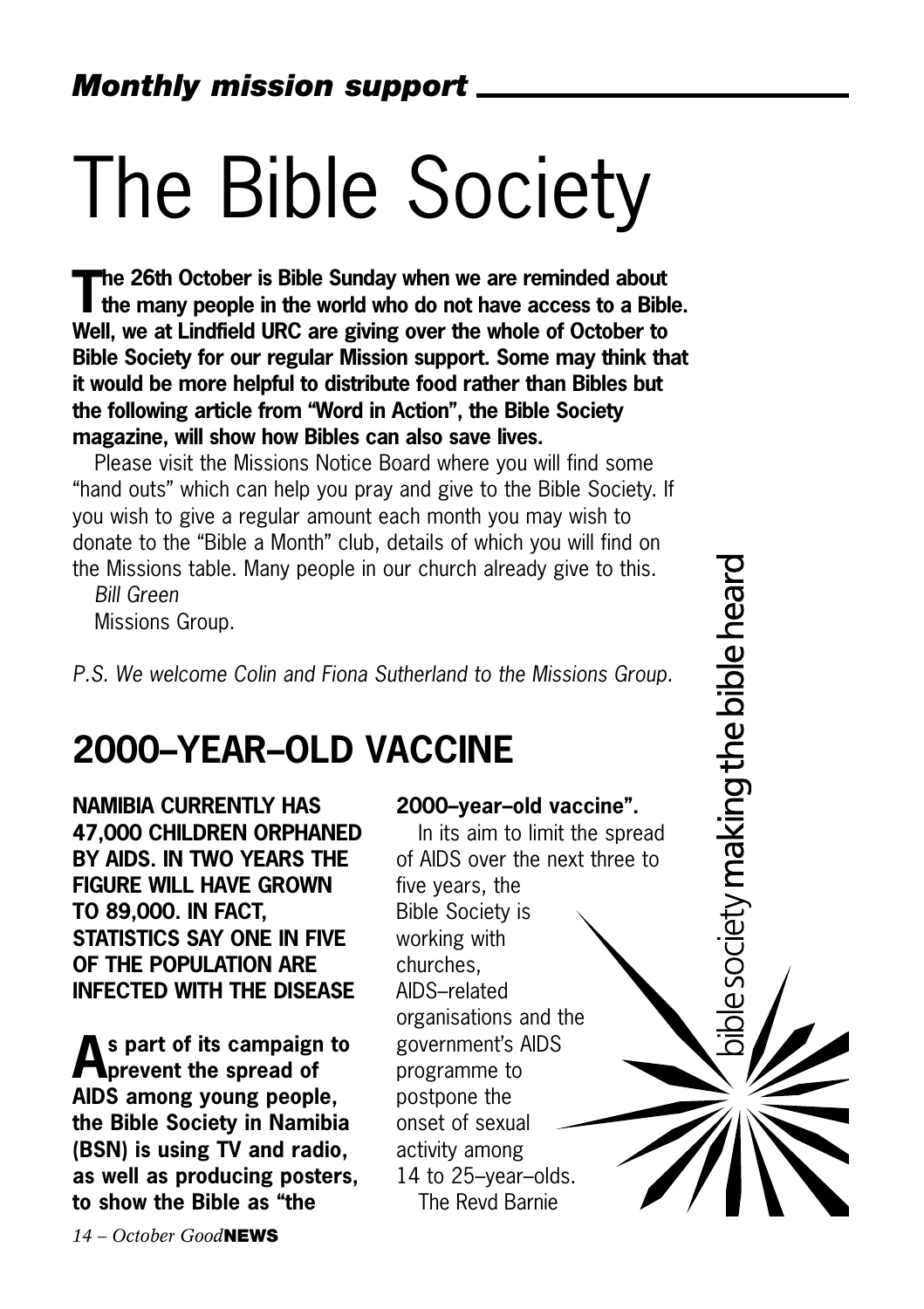# The Bible Society

**The 26th October is Bible Sunday when we are reminded about the many people in the world who do not have access to a Bible. Well, we at Lindfield URC are giving over the whole of October to Bible Society for our regular Mission support. Some may think that it would be more helpful to distribute food rather than Bibles but the following article from "Word in Action", the Bible Society magazine, will show how Bibles can also save lives.**

Please visit the Missions Notice Board where you will find some "hand outs" which can help you pray and give to the Bible Society. If you wish to give a regular amount each month you may wish to donate to the "Bible a Month" club, details of which you will find on the Missions table. Many people in our church already give to this.

*Bill Green*  Missions Group.

*P.S. We welcome Colin and Fiona Sutherland to the Missions Group.*

## **2000–YEAR–OLD VACCINE**

**NAMIBIA CURRENTLY HAS 47,000 CHILDREN ORPHANED BY AIDS. IN TWO YEARS THE FIGURE WILL HAVE GROWN TO 89,000. IN FACT, STATISTICS SAY ONE IN FIVE OF THE POPULATION ARE INFECTED WITH THE DISEASE**

**As part of its campaign to prevent the spread of AIDS among young people, the Bible Society in Namibia (BSN) is using TV and radio, as well as producing posters, to show the Bible as "the**

#### **2000–year–old vaccine".**

In its aim to limit the spread of AIDS over the next three to five years, the Bible Society is working with

e society making the bible heard

churches, AIDS–related organisations and the government's AIDS programme to postpone the onset of sexual activity among 14 to 25–year–olds. The Revd Barnie

*14 – October Good***NEWS**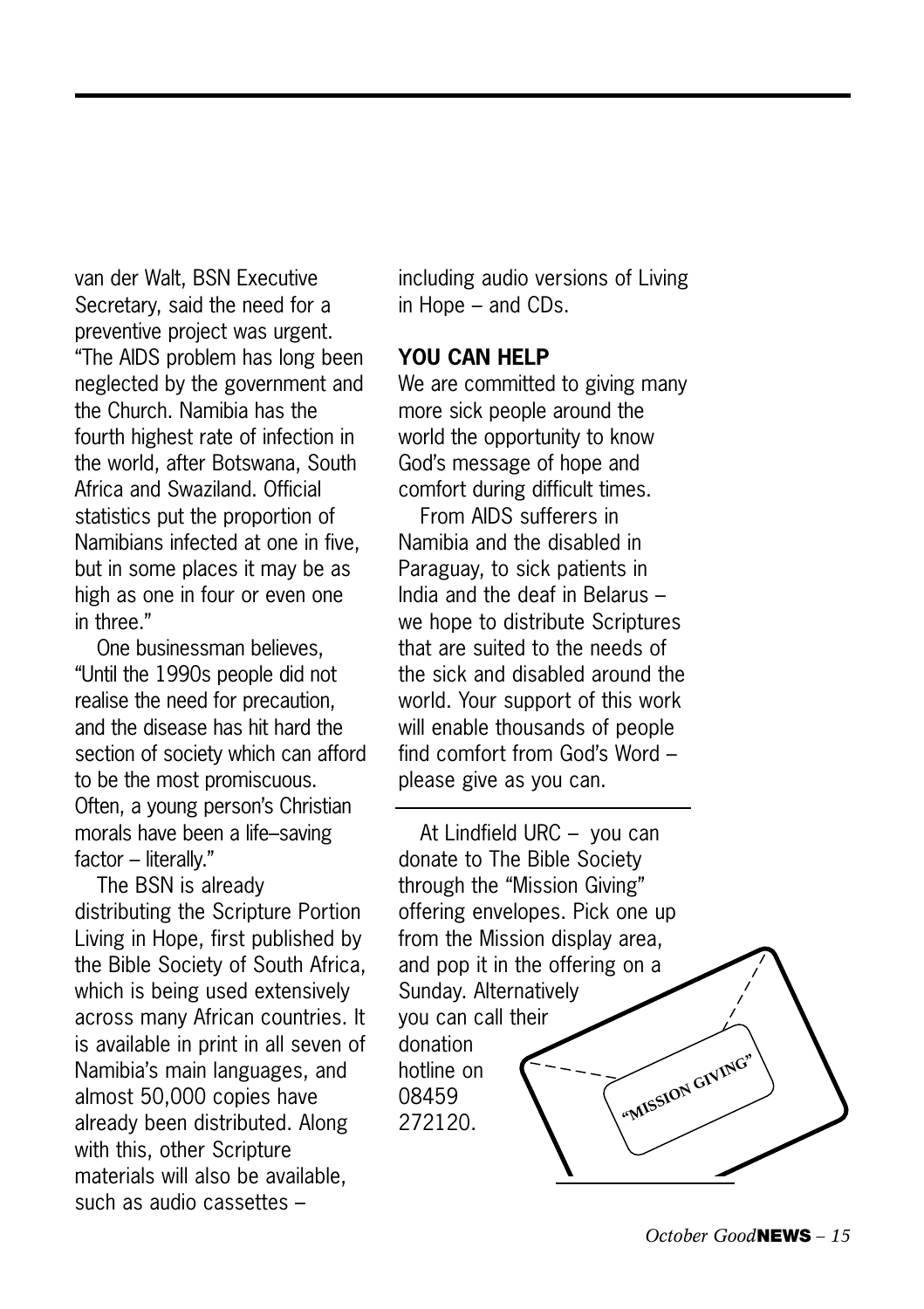van der Walt, BSN Executive Secretary, said the need for a preventive project was urgent. "The AIDS problem has long been neglected by the government and the Church. Namibia has the fourth highest rate of infection in the world, after Botswana, South Africa and Swaziland. Official statistics put the proportion of Namibians infected at one in five, but in some places it may be as high as one in four or even one in three."

One businessman believes, "Until the 1990s people did not realise the need for precaution, and the disease has hit hard the section of society which can afford to be the most promiscuous. Often, a young person's Christian morals have been a life–saving factor – literally."

The BSN is already distributing the Scripture Portion Living in Hope, first published by the Bible Society of South Africa, which is being used extensively across many African countries. It is available in print in all seven of Namibia's main languages, and almost 50,000 copies have already been distributed. Along with this, other Scripture materials will also be available, such as audio cassettes –

including audio versions of Living in Hope – and CDs.

#### **YOU CAN HELP**

We are committed to giving many more sick people around the world the opportunity to know God's message of hope and comfort during difficult times.

From AIDS sufferers in Namibia and the disabled in Paraguay, to sick patients in India and the deaf in Belarus – we hope to distribute Scriptures that are suited to the needs of the sick and disabled around the world. Your support of this work will enable thousands of people find comfort from God's Word – please give as you can.

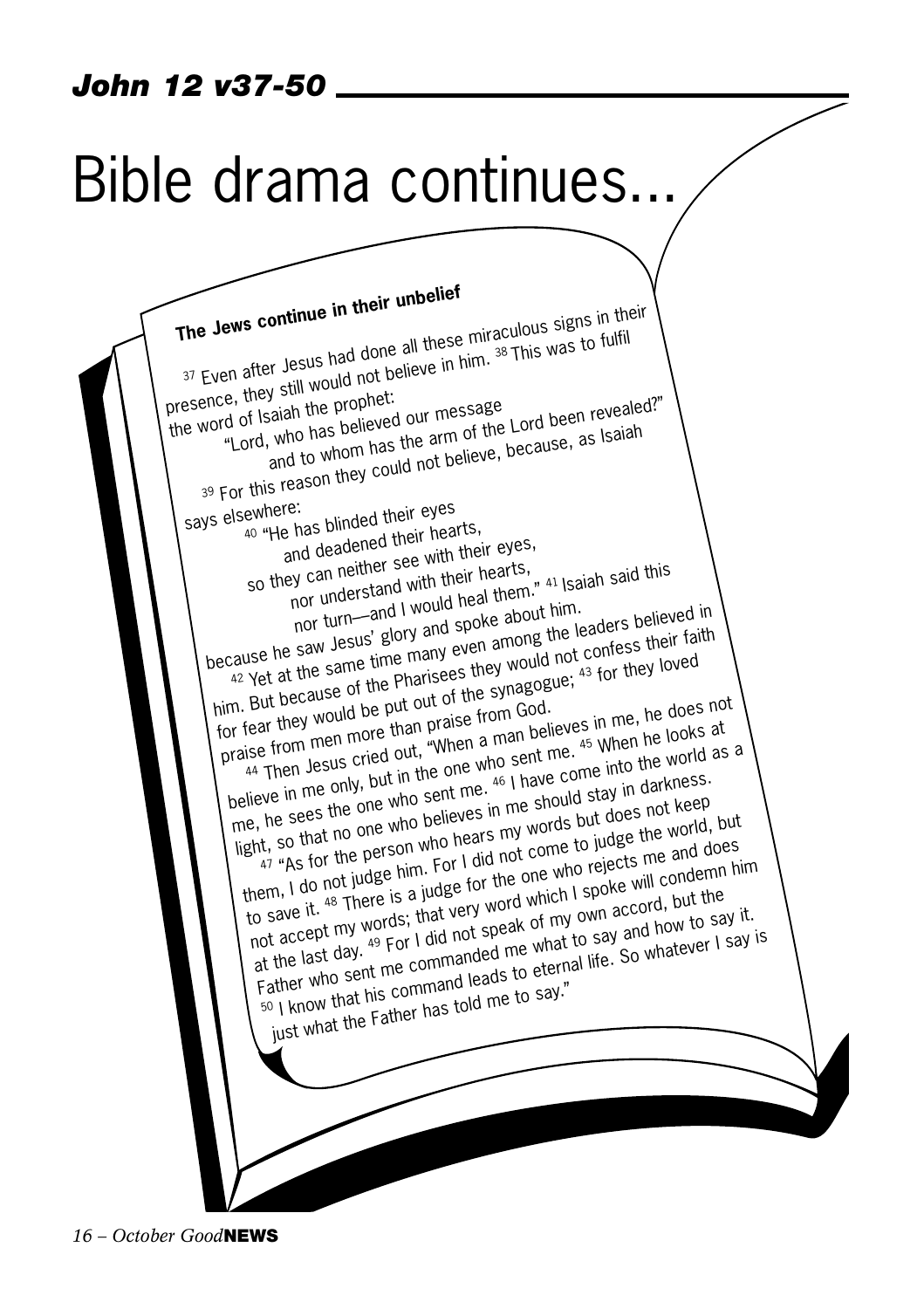## Bible drama continues...

**The Jews continue in their unbelief**  37 Even after Jesus had done all these miraculous signs in their presence, they still would not believe in him. 38 This was to fulfil the word of Isaiah the prophet: "Lord, who has believed our message and to whom has the arm of the Lord been revealed?" 39 For this reason they could not believe, because, as Isaiah says elsewhere: 40 "He has blinded their eyes and deadened their hearts,<br>ley can neither see with their eyes,<br>nor understand with their hearts, so they can neither see with their eyes, So can neither see the their hearts,<br>nor understand with their heal them." 41 Isaiah said this<br>nor turn—and I would heal them. Isaiders belie because he saw Jesus' glory and spoke about him. The same time many even among the leaders believed in him. But because of the Pharisees they would not confess their faith for fear they would be put out of the synagogue; 43 for they loved for fear they would be put out of the synagogue; praise from men more than praise from God. 44 Then Jesus cried out, "When a man believes in me, he does not believe in me only, but in the one who sent me. 45 When he looks at<br>believe in me only, but in the one who sent me. 46 I have come into the world as<br>believe in me only, but in the one who sent me. 46 I have come into the w welleve in the only, but in the one who sent the come into the world as a me, he sees the one who sent me. light, so that no one who believes in me should stay in darkness. them, I do not judge him. For I did not come to judge the world, but<br>them, I do not judge him. For I did not come to judge the world, to save it. 48 There is a judge for the one who rejects me and does. not accept my words; that very word which I spoke will condemn him at the last day. 49 For I did not speak of my own accord, but the Father who sent me commanded me what to say and how to say it. <sup>50</sup> I know that his command leads to eternal life. So whatever I say is just what the Father has told me to say."

*16 – October Good***NEWS**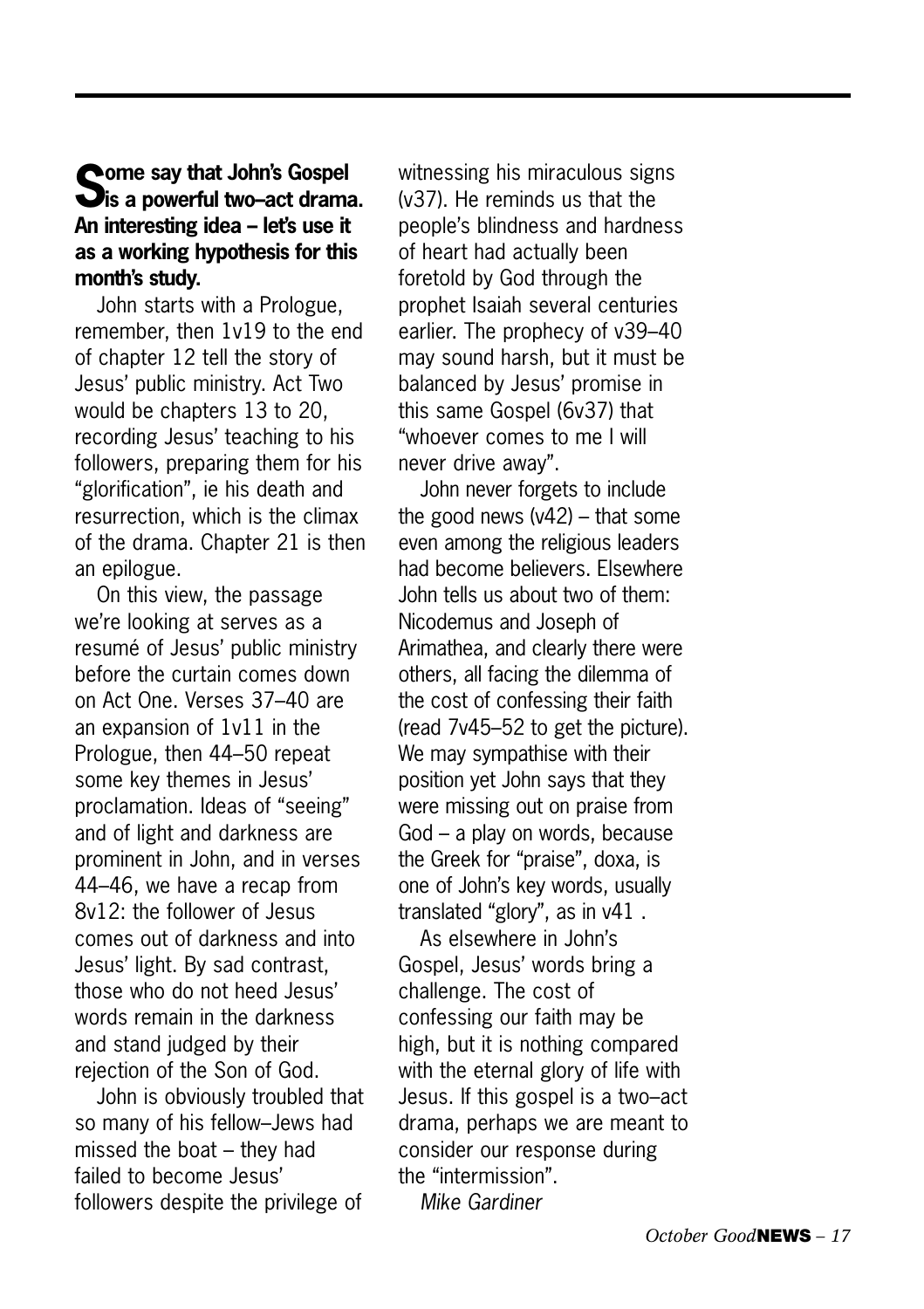### **Some say that John's Gospel is a powerful two–act drama. An interesting idea – let's use it as a working hypothesis for this month's study.**

John starts with a Prologue, remember, then 1v19 to the end of chapter 12 tell the story of Jesus' public ministry. Act Two would be chapters 13 to 20, recording Jesus' teaching to his followers, preparing them for his "glorification", ie his death and resurrection, which is the climax of the drama. Chapter 21 is then an epilogue.

On this view, the passage we're looking at serves as a resumé of Jesus' public ministry before the curtain comes down on Act One. Verses 37–40 are an expansion of 1v11 in the Prologue, then 44–50 repeat some key themes in Jesus' proclamation. Ideas of "seeing" and of light and darkness are prominent in John, and in verses 44–46, we have a recap from 8v12: the follower of Jesus comes out of darkness and into Jesus' light. By sad contrast, those who do not heed Jesus' words remain in the darkness and stand judged by their rejection of the Son of God.

John is obviously troubled that so many of his fellow–Jews had missed the boat – they had failed to become Jesus' followers despite the privilege of

witnessing his miraculous signs (v37). He reminds us that the people's blindness and hardness of heart had actually been foretold by God through the prophet Isaiah several centuries earlier. The prophecy of v39–40 may sound harsh, but it must be balanced by Jesus' promise in this same Gospel (6v37) that "whoever comes to me I will never drive away".

John never forgets to include the good news (v42) – that some even among the religious leaders had become believers. Elsewhere John tells us about two of them: Nicodemus and Joseph of Arimathea, and clearly there were others, all facing the dilemma of the cost of confessing their faith (read 7v45–52 to get the picture). We may sympathise with their position yet John says that they were missing out on praise from God – a play on words, because the Greek for "praise", doxa, is one of John's key words, usually translated "glory", as in v41 .

As elsewhere in John's Gospel, Jesus' words bring a challenge. The cost of confessing our faith may be high, but it is nothing compared with the eternal glory of life with Jesus. If this gospel is a two–act drama, perhaps we are meant to consider our response during the "intermission".

*Mike Gardiner*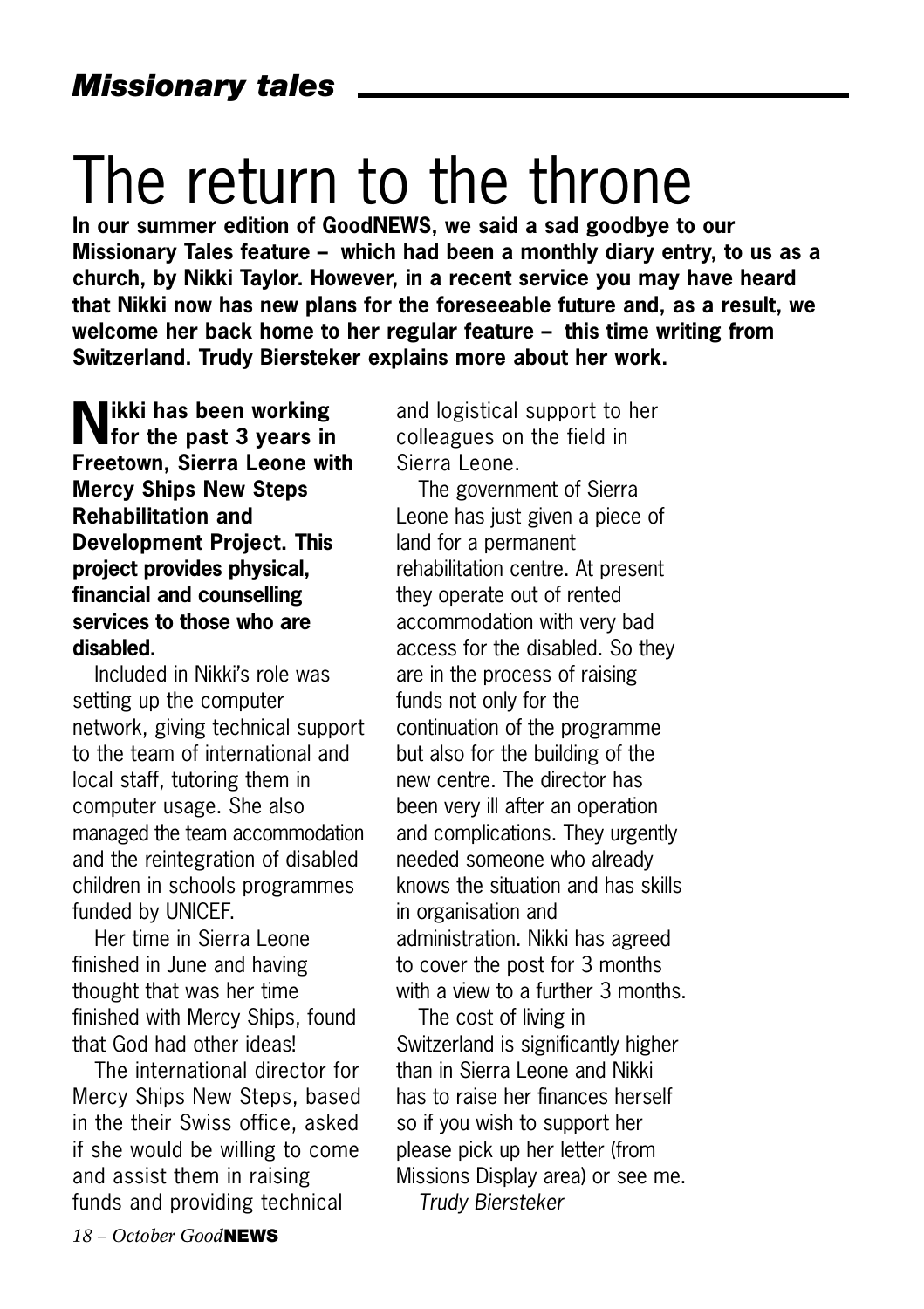## The return to the throne

**In our summer edition of GoodNEWS, we said a sad goodbye to our Missionary Tales feature – which had been a monthly diary entry, to us as a church, by Nikki Taylor. However, in a recent service you may have heard that Nikki now has new plans for the foreseeable future and, as a result, we welcome her back home to her regular feature – this time writing from Switzerland. Trudy Biersteker explains more about her work.**

**Nikki has been working for the past 3 years in Freetown, Sierra Leone with Mercy Ships New Steps Rehabilitation and Development Project. This project provides physical, financial and counselling services to those who are disabled.** 

Included in Nikki's role was setting up the computer network, giving technical support to the team of international and local staff, tutoring them in computer usage. She also managed the team accommodation and the reintegration of disabled children in schools programmes funded by UNICEF.

Her time in Sierra Leone finished in June and having thought that was her time finished with Mercy Ships, found that God had other ideas!

The international director for Mercy Ships New Steps, based in the their Swiss office, asked if she would be willing to come and assist them in raising funds and providing technical

and logistical support to her colleagues on the field in Sierra Leone.

The government of Sierra Leone has just given a piece of land for a permanent rehabilitation centre. At present they operate out of rented accommodation with very bad access for the disabled. So they are in the process of raising funds not only for the continuation of the programme but also for the building of the new centre. The director has been very ill after an operation and complications. They urgently needed someone who already knows the situation and has skills in organisation and administration. Nikki has agreed to cover the post for 3 months with a view to a further 3 months.

The cost of living in Switzerland is significantly higher than in Sierra Leone and Nikki has to raise her finances herself so if you wish to support her please pick up her letter (from Missions Display area) or see me. *Trudy Biersteker*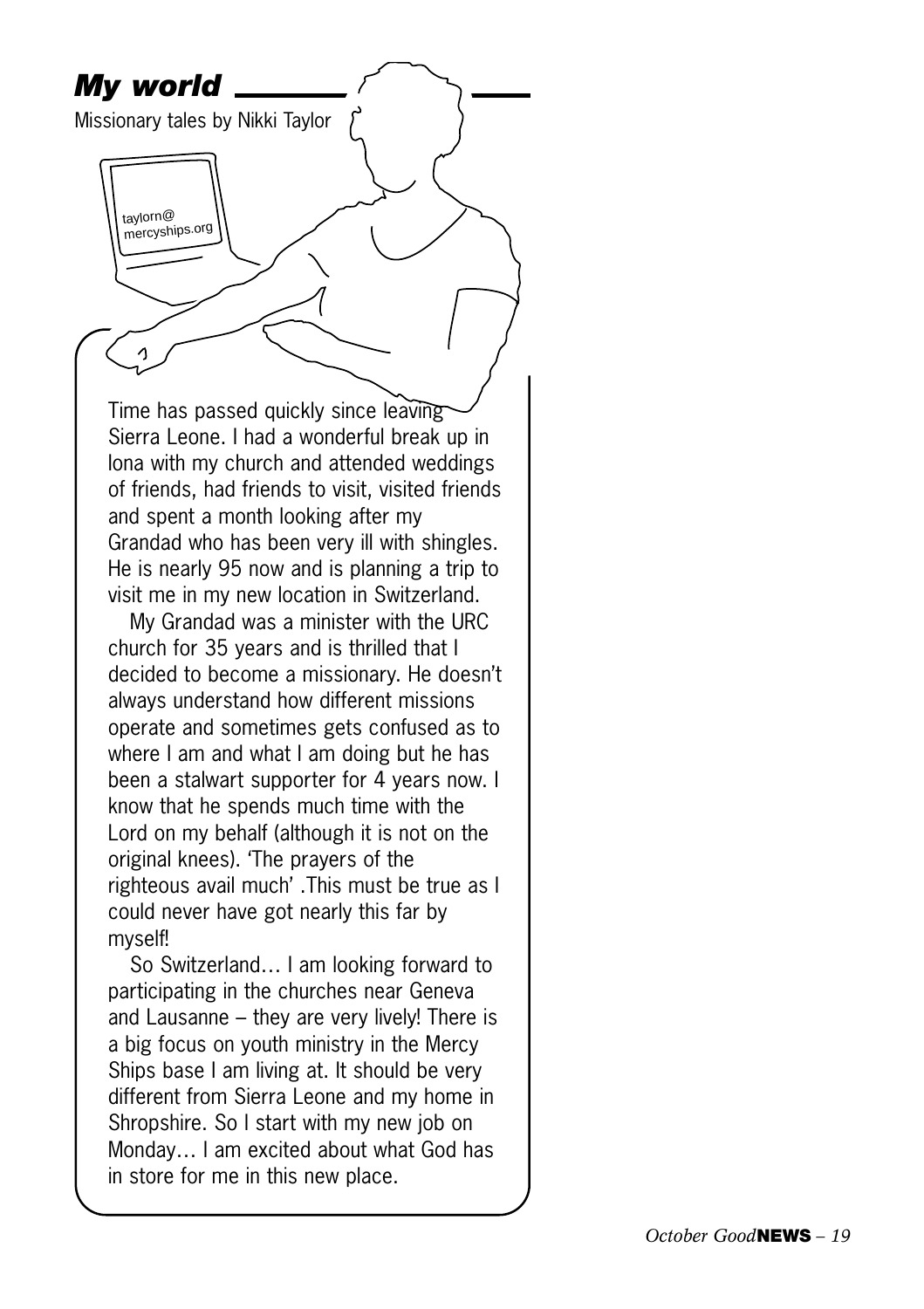

So Switzerland… I am looking forward to participating in the churches near Geneva and Lausanne – they are very lively! There is a big focus on youth ministry in the Mercy Ships base I am living at. It should be very different from Sierra Leone and my home in Shropshire. So I start with my new job on Monday… I am excited about what God has in store for me in this new place.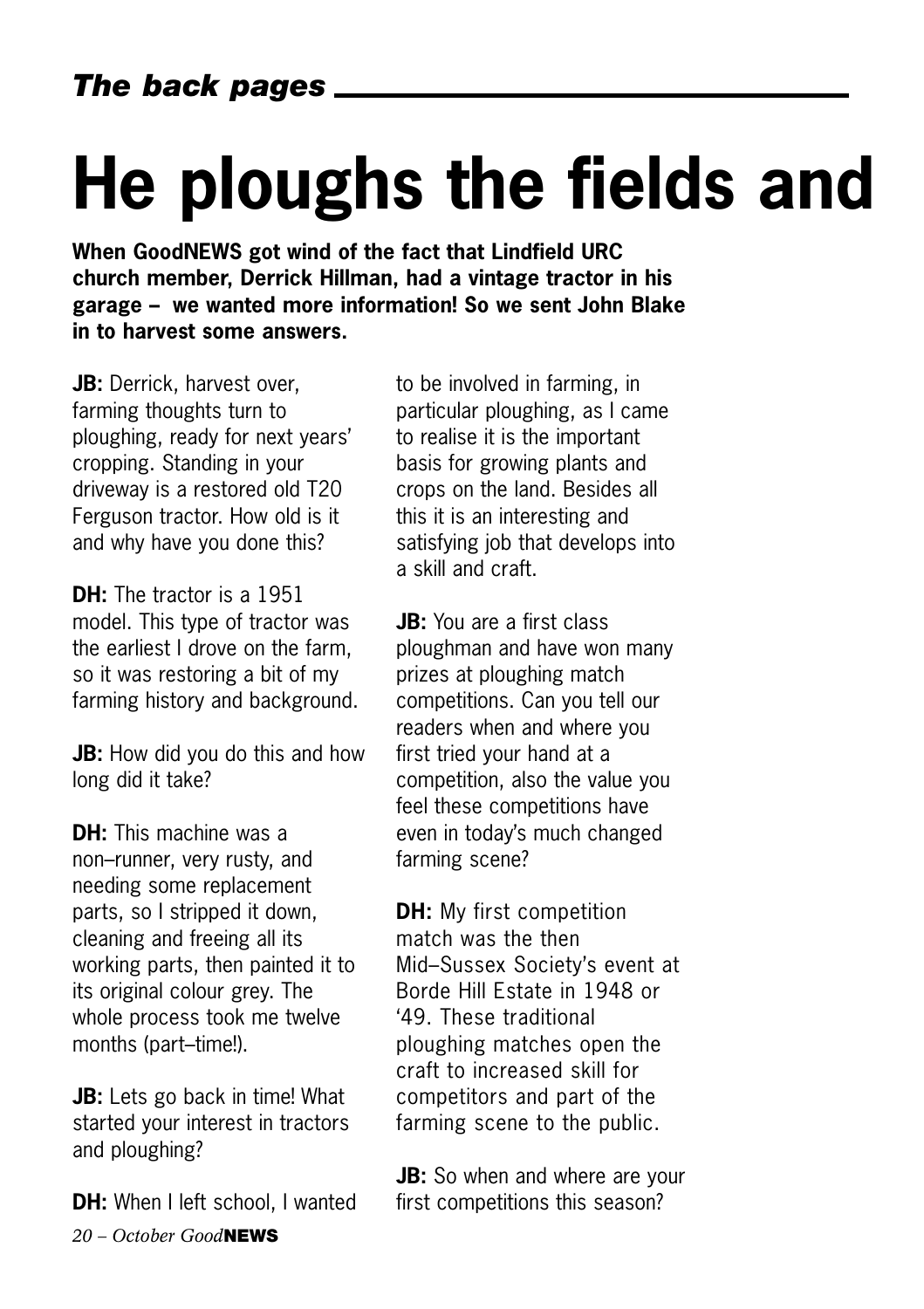# **He ploughs the fields and**

**When GoodNEWS got wind of the fact that Lindfield URC church member, Derrick Hillman, had a vintage tractor in his garage – we wanted more information! So we sent John Blake in to harvest some answers.** 

**JB:** Derrick, harvest over, farming thoughts turn to ploughing, ready for next years' cropping. Standing in your driveway is a restored old T20 Ferguson tractor. How old is it and why have you done this?

**DH:** The tractor is a 1951 model. This type of tractor was the earliest I drove on the farm, so it was restoring a bit of my farming history and background.

**JB:** How did you do this and how long did it take?

**DH:** This machine was a non–runner, very rusty, and needing some replacement parts, so I stripped it down, cleaning and freeing all its working parts, then painted it to its original colour grey. The whole process took me twelve months (part–time!).

**JB:** Lets go back in time! What started your interest in tractors and ploughing?

*20 – October Good***NEWS DH:** When I left school, I wanted to be involved in farming, in particular ploughing, as I came to realise it is the important basis for growing plants and crops on the land. Besides all this it is an interesting and satisfying job that develops into a skill and craft.

**JB:** You are a first class ploughman and have won many prizes at ploughing match competitions. Can you tell our readers when and where you first tried your hand at a competition, also the value you feel these competitions have even in today's much changed farming scene?

**DH:** My first competition match was the then Mid–Sussex Society's event at Borde Hill Estate in 1948 or '49. These traditional ploughing matches open the craft to increased skill for competitors and part of the farming scene to the public.

**JB:** So when and where are your first competitions this season?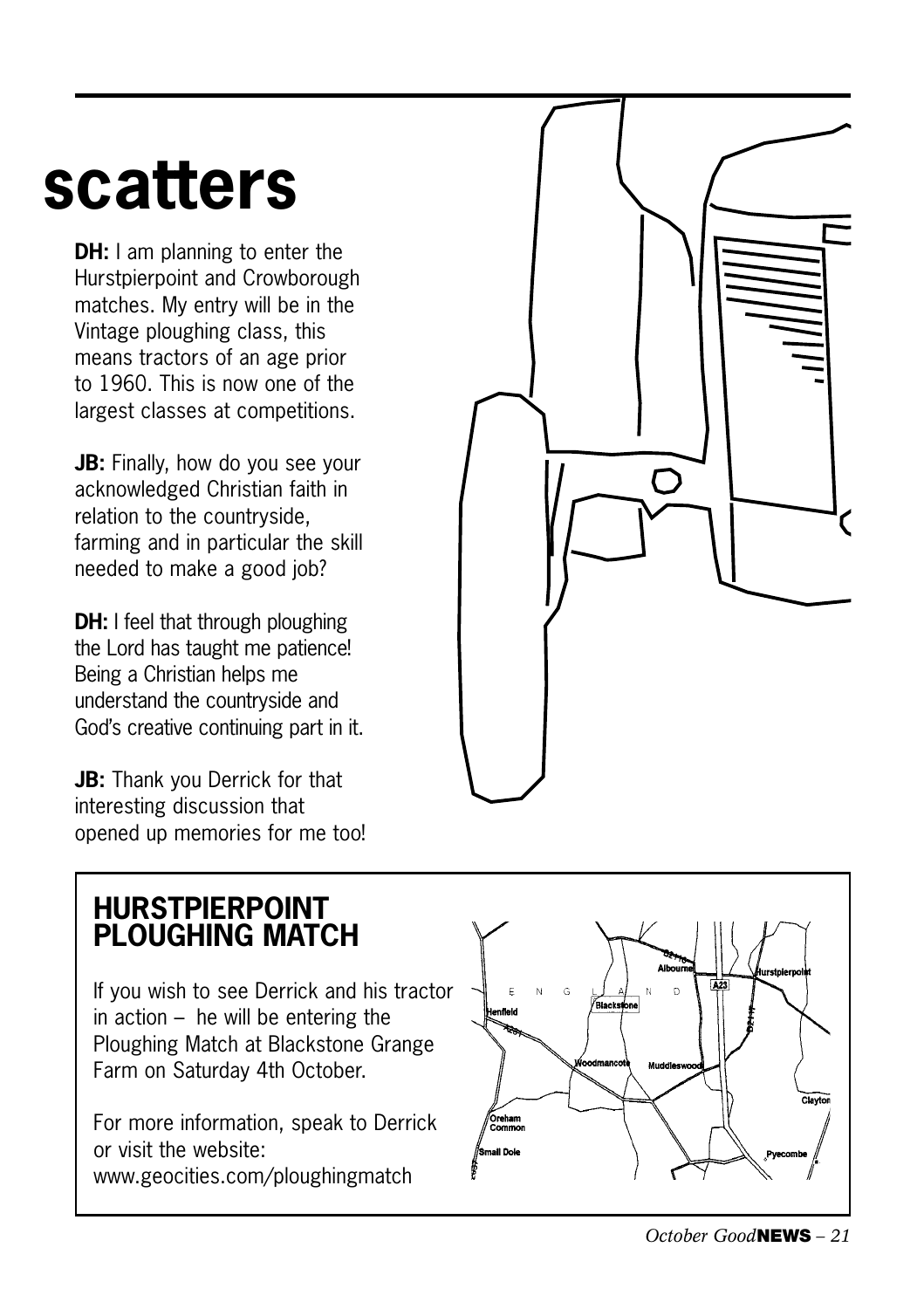## **scatters**

**DH:** I am planning to enter the Hurstpierpoint and Crowborough matches. My entry will be in the Vintage ploughing class, this means tractors of an age prior to 1960. This is now one of the largest classes at competitions.

**JB:** Finally, how do you see your acknowledged Christian faith in relation to the countryside, farming and in particular the skill needed to make a good job?

**DH:** I feel that through ploughing the Lord has taught me patience! Being a Christian helps me understand the countryside and God's creative continuing part in it.

**JB:** Thank you Derrick for that interesting discussion that opened up memories for me too!



### **HURSTPIERPOINT PLOUGHING MATCH**

If you wish to see Derrick and his tractor in action – he will be entering the Ploughing Match at Blackstone Grange Farm on Saturday 4th October.

For more information, speak to Derrick or visit the website: www.geocities.com/ploughingmatch

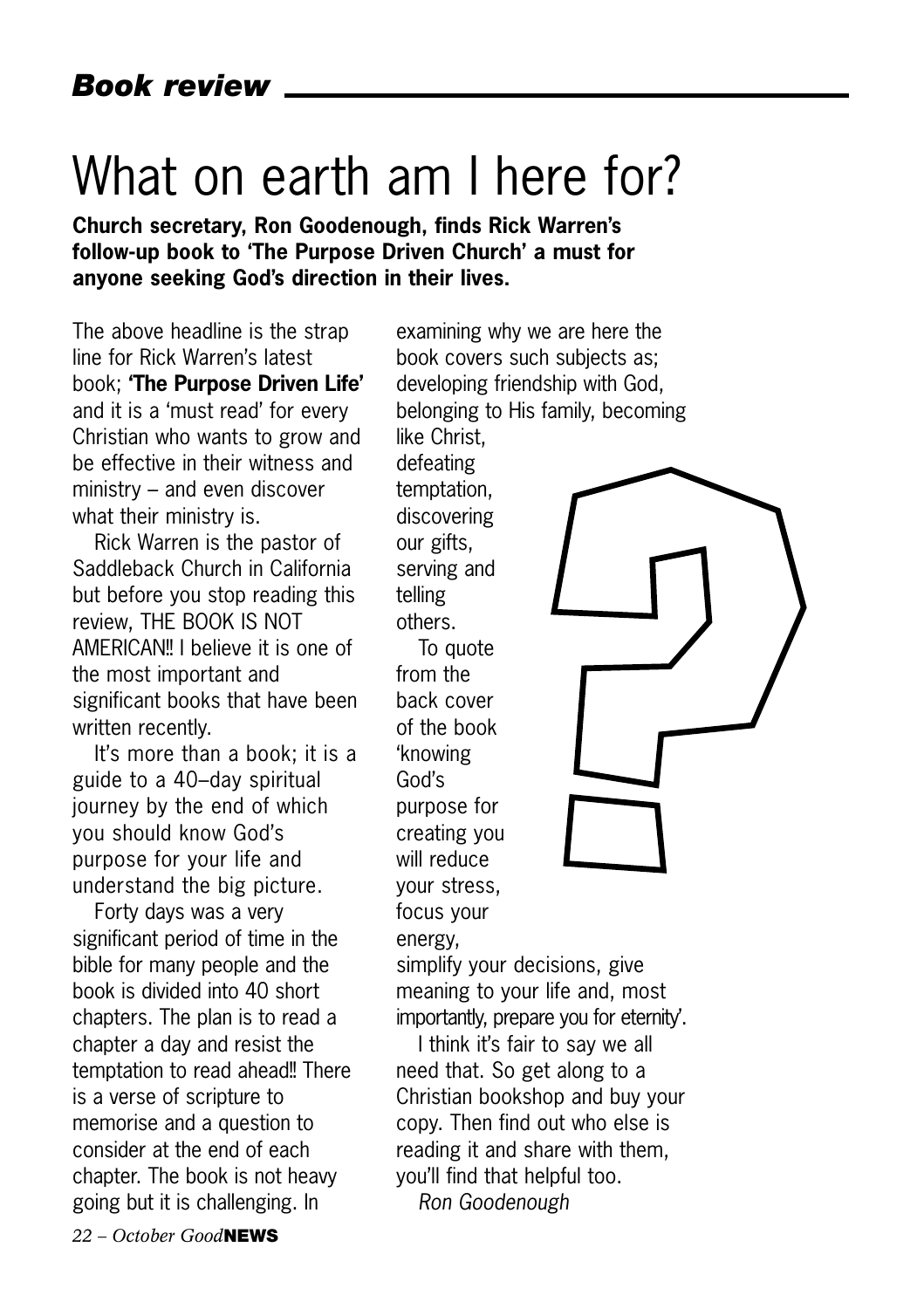## What on earth am I here for?

**Church secretary, Ron Goodenough, finds Rick Warren's follow-up book to 'The Purpose Driven Church' a must for anyone seeking God's direction in their lives.**

The above headline is the strap line for Rick Warren's latest book; **'The Purpose Driven Life'** and it is a 'must read' for every Christian who wants to grow and be effective in their witness and ministry – and even discover what their ministry is.

Rick Warren is the pastor of Saddleback Church in California but before you stop reading this review, THE BOOK IS NOT AMERICAN!! I believe it is one of the most important and significant books that have been written recently.

It's more than a book; it is a guide to a 40–day spiritual journey by the end of which you should know God's purpose for your life and understand the big picture.

Forty days was a very significant period of time in the bible for many people and the book is divided into 40 short chapters. The plan is to read a chapter a day and resist the temptation to read ahead!! There is a verse of scripture to memorise and a question to consider at the end of each chapter. The book is not heavy going but it is challenging. In

examining why we are here the book covers such subjects as; developing friendship with God, belonging to His family, becoming

like Christ, defeating temptation, discovering our gifts, serving and telling others.

To quote from the back cover of the book 'knowing God's purpose for creating you will reduce your stress, focus your

energy,

simplify your decisions, give meaning to your life and, most importantly, prepare you for eternity'.

I think it's fair to say we all need that. So get along to a Christian bookshop and buy your copy. Then find out who else is reading it and share with them, you'll find that helpful too. *Ron Goodenough*

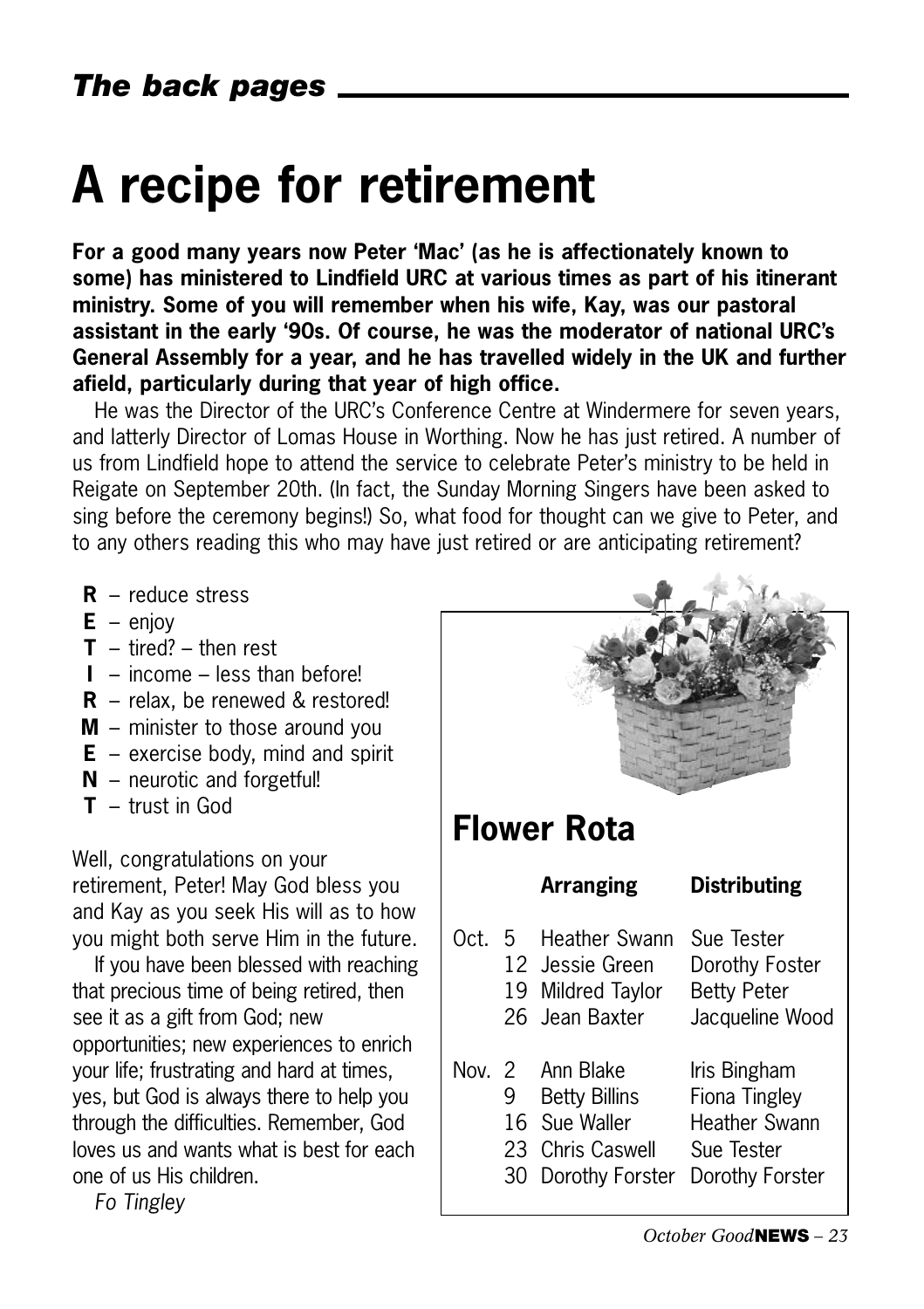## **A recipe for retirement**

**For a good many years now Peter 'Mac' (as he is affectionately known to some) has ministered to Lindfield URC at various times as part of his itinerant ministry. Some of you will remember when his wife, Kay, was our pastoral assistant in the early '90s. Of course, he was the moderator of national URC's General Assembly for a year, and he has travelled widely in the UK and further afield, particularly during that year of high office.** 

He was the Director of the URC's Conference Centre at Windermere for seven years, and latterly Director of Lomas House in Worthing. Now he has just retired. A number of us from Lindfield hope to attend the service to celebrate Peter's ministry to be held in Reigate on September 20th. (In fact, the Sunday Morning Singers have been asked to sing before the ceremony begins!) So, what food for thought can we give to Peter, and to any others reading this who may have just retired or are anticipating retirement?

- **R** reduce stress
- $E eniov$
- $T \text{tired}$ ? then rest
- **I** income less than before!
- **R** relax, be renewed & restored!
- **M** minister to those around you
- **E** exercise body, mind and spirit
- **N** neurotic and forgetful!
- **T** trust in God

Well, congratulations on your retirement, Peter! May God bless you and Kay as you seek His will as to how you might both serve Him in the future.

If you have been blessed with reaching that precious time of being retired, then see it as a gift from God; new opportunities; new experiences to enrich your life; frustrating and hard at times, yes, but God is always there to help you through the difficulties. Remember, God loves us and wants what is best for each one of us His children.

*Fo Tingley*

| <b>Flower Rota</b> |    |                                                                                                       |                                                                  |
|--------------------|----|-------------------------------------------------------------------------------------------------------|------------------------------------------------------------------|
|                    |    | Arranging                                                                                             | <b>Distributing</b>                                              |
|                    |    | Oct. 5 Heather Swann Sue Tester<br>12 Jessie Green<br>19 Mildred Taylor Betty Peter<br>26 Jean Baxter | Dorothy Foster<br>Jacqueline Wood                                |
|                    | 30 | Nov. 2 Ann Blake<br>9 Betty Billins<br>16 Sue Waller Heather Swann<br>23 Chris Caswell Sue Tester     | Iris Bingham<br>Fiona Tingley<br>Dorothy Forster Dorothy Forster |